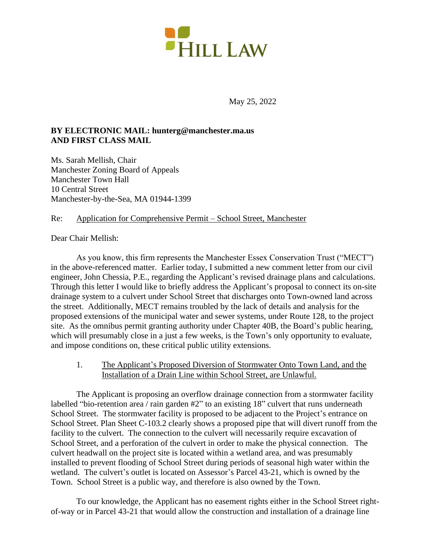

May 25, 2022

# **BY ELECTRONIC MAIL: hunterg@manchester.ma.us AND FIRST CLASS MAIL**

Ms. Sarah Mellish, Chair Manchester Zoning Board of Appeals Manchester Town Hall 10 Central Street Manchester-by-the-Sea, MA 01944-1399

# Re: Application for Comprehensive Permit – School Street, Manchester

# Dear Chair Mellish:

As you know, this firm represents the Manchester Essex Conservation Trust ("MECT") in the above-referenced matter. Earlier today, I submitted a new comment letter from our civil engineer, John Chessia, P.E., regarding the Applicant's revised drainage plans and calculations. Through this letter I would like to briefly address the Applicant's proposal to connect its on-site drainage system to a culvert under School Street that discharges onto Town-owned land across the street. Additionally, MECT remains troubled by the lack of details and analysis for the proposed extensions of the municipal water and sewer systems, under Route 128, to the project site. As the omnibus permit granting authority under Chapter 40B, the Board's public hearing, which will presumably close in a just a few weeks, is the Town's only opportunity to evaluate, and impose conditions on, these critical public utility extensions.

1. The Applicant's Proposed Diversion of Stormwater Onto Town Land, and the Installation of a Drain Line within School Street, are Unlawful.

The Applicant is proposing an overflow drainage connection from a stormwater facility labelled "bio-retention area / rain garden #2" to an existing 18" culvert that runs underneath School Street. The stormwater facility is proposed to be adjacent to the Project's entrance on School Street. Plan Sheet C-103.2 clearly shows a proposed pipe that will divert runoff from the facility to the culvert. The connection to the culvert will necessarily require excavation of School Street, and a perforation of the culvert in order to make the physical connection. The culvert headwall on the project site is located within a wetland area, and was presumably installed to prevent flooding of School Street during periods of seasonal high water within the wetland. The culvert's outlet is located on Assessor's Parcel 43-21, which is owned by the Town. School Street is a public way, and therefore is also owned by the Town.

To our knowledge, the Applicant has no easement rights either in the School Street rightof-way or in Parcel 43-21 that would allow the construction and installation of a drainage line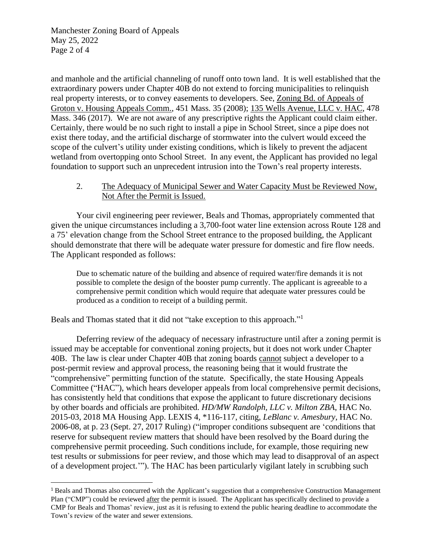Manchester Zoning Board of Appeals May 25, 2022 Page 2 of 4

and manhole and the artificial channeling of runoff onto town land. It is well established that the extraordinary powers under Chapter 40B do not extend to forcing municipalities to relinquish real property interests, or to convey easements to developers. See, [Zoning Bd. of Appeals of](https://plus.lexis.com/api/document?collection=cases&id=urn:contentItem:4S68-D790-TX4N-G039-00000-00&context=)  [Groton](https://plus.lexis.com/api/document?collection=cases&id=urn:contentItem:4S68-D790-TX4N-G039-00000-00&context=) [v. Housing Appeals Comm., 451 Mass. 35](https://plus.lexis.com/api/document?collection=cases&id=urn:contentItem:4S68-D790-TX4N-G039-00000-00&context=) (2008); 135 Wells Avenue, LLC v. HAC, 478 Mass. 346 (2017). We are not aware of any prescriptive rights the Applicant could claim either. Certainly, there would be no such right to install a pipe in School Street, since a pipe does not exist there today, and the artificial discharge of stormwater into the culvert would exceed the scope of the culvert's utility under existing conditions, which is likely to prevent the adjacent wetland from overtopping onto School Street. In any event, the Applicant has provided no legal foundation to support such an unprecedent intrusion into the Town's real property interests.

# 2. The Adequacy of Municipal Sewer and Water Capacity Must be Reviewed Now, Not After the Permit is Issued.

Your civil engineering peer reviewer, Beals and Thomas, appropriately commented that given the unique circumstances including a 3,700-foot water line extension across Route 128 and a 75' elevation change from the School Street entrance to the proposed building, the Applicant should demonstrate that there will be adequate water pressure for domestic and fire flow needs. The Applicant responded as follows:

Due to schematic nature of the building and absence of required water/fire demands it is not possible to complete the design of the booster pump currently. The applicant is agreeable to a comprehensive permit condition which would require that adequate water pressures could be produced as a condition to receipt of a building permit.

Beals and Thomas stated that it did not "take exception to this approach."<sup>1</sup>

Deferring review of the adequacy of necessary infrastructure until after a zoning permit is issued may be acceptable for conventional zoning projects, but it does not work under Chapter 40B. The law is clear under Chapter 40B that zoning boards cannot subject a developer to a post-permit review and approval process, the reasoning being that it would frustrate the "comprehensive" permitting function of the statute. Specifically, the state Housing Appeals Committee ("HAC"), which hears developer appeals from local comprehensive permit decisions, has consistently held that conditions that expose the applicant to future discretionary decisions by other boards and officials are prohibited. *HD/MW Randolph, LLC v. Milton ZBA*, HAC No. 2015-03, 2018 MA Housing App. LEXIS 4, \*116-117, citing, *LeBlanc v. Amesbury*, HAC No. 2006-08, at p. 23 (Sept. 27, 2017 Ruling) ("improper conditions subsequent are 'conditions that reserve for subsequent review matters that should have been resolved by the Board during the comprehensive permit proceeding. Such conditions include, for example, those requiring new test results or submissions for peer review, and those which may lead to disapproval of an aspect of a development project.'"). The HAC has been particularly vigilant lately in scrubbing such

<sup>1</sup> Beals and Thomas also concurred with the Applicant's suggestion that a comprehensive Construction Management Plan ("CMP") could be reviewed after the permit is issued. The Applicant has specifically declined to provide a CMP for Beals and Thomas' review, just as it is refusing to extend the public hearing deadline to accommodate the Town's review of the water and sewer extensions.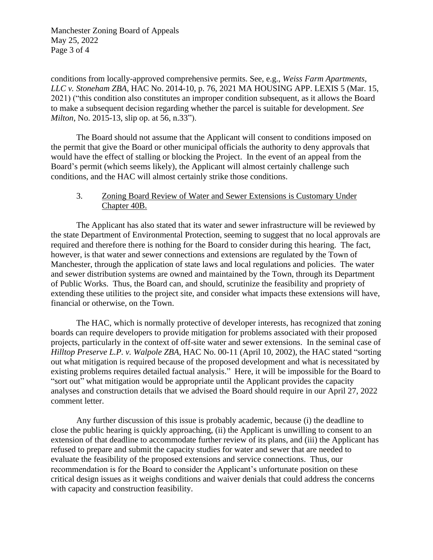Manchester Zoning Board of Appeals May 25, 2022 Page 3 of 4

conditions from locally-approved comprehensive permits. See, e.g., *Weiss Farm Apartments, LLC v. Stoneham ZBA*, HAC No. 2014-10, p. 76, 2021 MA HOUSING APP. LEXIS 5 (Mar. 15, 2021) ("this condition also constitutes an improper condition subsequent, as it allows the Board to make a subsequent decision regarding whether the parcel is suitable for development. *See Milton*, No. 2015-13, slip op. at 56, n.33").

The Board should not assume that the Applicant will consent to conditions imposed on the permit that give the Board or other municipal officials the authority to deny approvals that would have the effect of stalling or blocking the Project. In the event of an appeal from the Board's permit (which seems likely), the Applicant will almost certainly challenge such conditions, and the HAC will almost certainly strike those conditions.

# 3. Zoning Board Review of Water and Sewer Extensions is Customary Under Chapter 40B.

The Applicant has also stated that its water and sewer infrastructure will be reviewed by the state Department of Environmental Protection, seeming to suggest that no local approvals are required and therefore there is nothing for the Board to consider during this hearing. The fact, however, is that water and sewer connections and extensions are regulated by the Town of Manchester, through the application of state laws and local regulations and policies. The water and sewer distribution systems are owned and maintained by the Town, through its Department of Public Works. Thus, the Board can, and should, scrutinize the feasibility and propriety of extending these utilities to the project site, and consider what impacts these extensions will have, financial or otherwise, on the Town.

The HAC, which is normally protective of developer interests, has recognized that zoning boards can require developers to provide mitigation for problems associated with their proposed projects, particularly in the context of off-site water and sewer extensions. In the seminal case of *Hilltop Preserve L.P. v. Walpole ZBA*, HAC No. 00-11 (April 10, 2002), the HAC stated "sorting out what mitigation is required because of the proposed development and what is necessitated by existing problems requires detailed factual analysis." Here, it will be impossible for the Board to "sort out" what mitigation would be appropriate until the Applicant provides the capacity analyses and construction details that we advised the Board should require in our April 27, 2022 comment letter.

Any further discussion of this issue is probably academic, because (i) the deadline to close the public hearing is quickly approaching, (ii) the Applicant is unwilling to consent to an extension of that deadline to accommodate further review of its plans, and (iii) the Applicant has refused to prepare and submit the capacity studies for water and sewer that are needed to evaluate the feasibility of the proposed extensions and service connections. Thus, our recommendation is for the Board to consider the Applicant's unfortunate position on these critical design issues as it weighs conditions and waiver denials that could address the concerns with capacity and construction feasibility.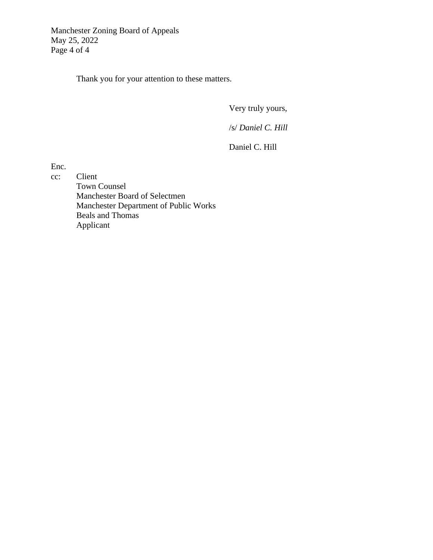Thank you for your attention to these matters.

Very truly yours,

/s/ *Daniel C. Hill*

Daniel C. Hill

Enc.

cc: Client Town Counsel Manchester Board of Selectmen Manchester Department of Public Works Beals and Thomas Applicant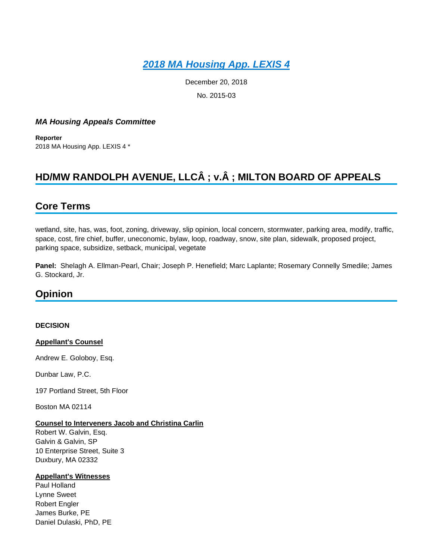# *[2018 MA Housing App. LEXIS 4](https://plus.lexis.com/api/document?collection=administrative-materials&id=urn:contentItem:5V37-V0S0-01S0-C056-00000-00&context=1530671)*

December 20, 2018 No. 2015-03

# *MA Housing Appeals Committee*

**Reporter** 2018 MA Housing App. LEXIS 4 \*

# **HD/MW RANDOLPH AVENUE, LLCÂ ; v.Â ; MILTON BOARD OF APPEALS**

# **Core Terms**

wetland, site, has, was, foot, zoning, driveway, slip opinion, local concern, stormwater, parking area, modify, traffic, space, cost, fire chief, buffer, uneconomic, bylaw, loop, roadway, snow, site plan, sidewalk, proposed project, parking space, subsidize, setback, municipal, vegetate

**Panel:** Shelagh A. Ellman-Pearl, Chair; Joseph P. Henefield; Marc Laplante; Rosemary Connelly Smedile; James G. Stockard, Jr.

# **Opinion**

#### **DECISION**

**Appellant's Counsel**

Andrew E. Goloboy, Esq.

Dunbar Law, P.C.

197 Portland Street, 5th Floor

Boston MA 02114

# **Counsel to Interveners Jacob and Christina Carlin**

Robert W. Galvin, Esq. Galvin & Galvin, SP 10 Enterprise Street, Suite 3 Duxbury, MA 02332

#### **Appellant's Witnesses**

Paul Holland Lynne Sweet Robert Engler James Burke, PE Daniel Dulaski, PhD, PE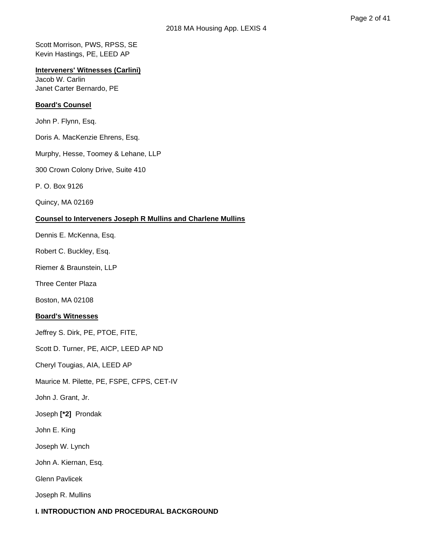Scott Morrison, PWS, RPSS, SE Kevin Hastings, PE, LEED AP

# **Interveners' Witnesses (Carlini)**

Jacob W. Carlin Janet Carter Bernardo, PE

# **Board's Counsel**

John P. Flynn, Esq.

Doris A. MacKenzie Ehrens, Esq.

Murphy, Hesse, Toomey & Lehane, LLP

300 Crown Colony Drive, Suite 410

P. O. Box 9126

Quincy, MA 02169

# **Counsel to Interveners Joseph R Mullins and Charlene Mullins**

Dennis E. McKenna, Esq.

Robert C. Buckley, Esq.

Riemer & Braunstein, LLP

Three Center Plaza

Boston, MA 02108

# **Board's Witnesses**

Jeffrey S. Dirk, PE, PTOE, FITE,

Scott D. Turner, PE, AICP, LEED AP ND

Cheryl Tougias, AIA, LEED AP

Maurice M. Pilette, PE, FSPE, CFPS, CET-IV

John J. Grant, Jr.

Joseph **[\*2]** Prondak

John E. King

Joseph W. Lynch

John A. Kiernan, Esq.

Glenn Pavlicek

Joseph R. Mullins

# **I. INTRODUCTION AND PROCEDURAL BACKGROUND**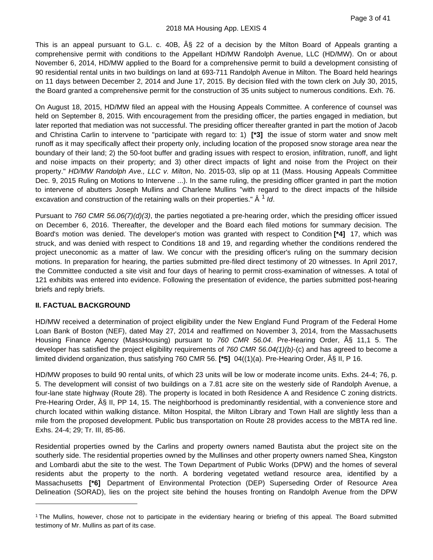This is an appeal pursuant to G.L. c. 40B,  $\overline{AS}$  22 of a decision by the Milton Board of Appeals granting a comprehensive permit with conditions to the Appellant HD/MW Randolph Avenue, LLC (HD/MW). On or about November 6, 2014, HD/MW applied to the Board for a comprehensive permit to build a development consisting of 90 residential rental units in two buildings on land at 693-711 Randolph Avenue in Milton. The Board held hearings on 11 days between December 2, 2014 and June 17, 2015. By decision filed with the town clerk on July 30, 2015, the Board granted a comprehensive permit for the construction of 35 units subject to numerous conditions. Exh. 76.

On August 18, 2015, HD/MW filed an appeal with the Housing Appeals Committee. A conference of counsel was held on September 8, 2015. With encouragement from the presiding officer, the parties engaged in mediation, but later reported that mediation was not successful. The presiding officer thereafter granted in part the motion of Jacob and Christina Carlin to intervene to "participate with regard to: 1) **[\*3]** the issue of storm water and snow melt runoff as it may specifically affect their property only, including location of the proposed snow storage area near the boundary of their land; 2) the 50-foot buffer and grading issues with respect to erosion, infiltration, runoff, and light and noise impacts on their property; and 3) other direct impacts of light and noise from the Project on their property." *HD/MW Randolph Ave., LLC v. Milton*, No. 2015-03, slip op at 11 (Mass. Housing Appeals Committee Dec. 9, 2015 Ruling on Motions to Intervene ...). In the same ruling, the presiding officer granted in part the motion to intervene of abutters Joseph Mullins and Charlene Mullins "with regard to the direct impacts of the hillside excavation and construction of the retaining walls on their properties."  $\hat{A}$ <sup>[1](#page-6-0)</sup> *Id.* 

Pursuant to *760 CMR 56.06(7)(d)(3)*, the parties negotiated a pre-hearing order, which the presiding officer issued on December 6, 2016. Thereafter, the developer and the Board each filed motions for summary decision. The Board's motion was denied. The developer's motion was granted with respect to Condition **[\*4]** 17, which was struck, and was denied with respect to Conditions 18 and 19, and regarding whether the conditions rendered the project uneconomic as a matter of law. We concur with the presiding officer's ruling on the summary decision motions. In preparation for hearing, the parties submitted pre-filed direct testimony of 20 witnesses. In April 2017, the Committee conducted a site visit and four days of hearing to permit cross-examination of witnesses. A total of 121 exhibits was entered into evidence. Following the presentation of evidence, the parties submitted post-hearing briefs and reply briefs.

# **II. FACTUAL BACKGROUND**

HD/MW received a determination of project eligibility under the New England Fund Program of the Federal Home Loan Bank of Boston (NEF), dated May 27, 2014 and reaffirmed on November 3, 2014, from the Massachusetts Housing Finance Agency (MassHousing) pursuant to 760 CMR 56.04. Pre-Hearing Order,  $\tilde{A}\$  11,1 5. The developer has satisfied the project eligibility requirements of *760 CMR 56.04(1)(b)*-(c) and has agreed to become a limited dividend organization, thus satisfying 760 CMR 56. **[\*5]** 04((1)(a). Pre-Hearing Order, § II, P 16.

HD/MW proposes to build 90 rental units, of which 23 units will be low or moderate income units. Exhs. 24-4; 76, p. 5. The development will consist of two buildings on a 7.81 acre site on the westerly side of Randolph Avenue, a four-lane state highway (Route 28). The property is located in both Residence A and Residence C zoning districts. Pre-Hearing Order, A§ II, PP 14, 15. The neighborhood is predominantly residential, with a convenience store and church located within walking distance. Milton Hospital, the Milton Library and Town Hall are slightly less than a mile from the proposed development. Public bus transportation on Route 28 provides access to the MBTA red line. Exhs. 24-4; 29; Tr. III, 85-86.

Residential properties owned by the Carlins and property owners named Bautista abut the project site on the southerly side. The residential properties owned by the Mullinses and other property owners named Shea, Kingston and Lombardi abut the site to the west. The Town Department of Public Works (DPW) and the homes of several residents abut the property to the north. A bordering vegetated wetland resource area, identified by a Massachusetts **[\*6]** Department of Environmental Protection (DEP) Superseding Order of Resource Area Delineation (SORAD), lies on the project site behind the houses fronting on Randolph Avenue from the DPW

<span id="page-6-0"></span><sup>1</sup> The Mullins, however, chose not to participate in the evidentiary hearing or briefing of this appeal. The Board submitted testimony of Mr. Mullins as part of its case.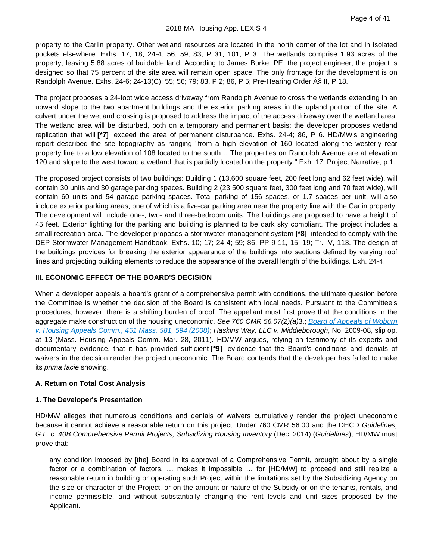property to the Carlin property. Other wetland resources are located in the north corner of the lot and in isolated pockets elsewhere. Exhs. 17; 18; 24-4; 56; 59; 83, P 31; 101, P 3. The wetlands comprise 1.93 acres of the property, leaving 5.88 acres of buildable land. According to James Burke, PE, the project engineer, the project is designed so that 75 percent of the site area will remain open space. The only frontage for the development is on Randolph Avenue. Exhs. 24-6; 24-13(C); 55; 56; 79; 83, P 2; 86, P 5; Pre-Hearing Order § II, P 18.

The project proposes a 24-foot wide access driveway from Randolph Avenue to cross the wetlands extending in an upward slope to the two apartment buildings and the exterior parking areas in the upland portion of the site. A culvert under the wetland crossing is proposed to address the impact of the access driveway over the wetland area. The wetland area will be disturbed, both on a temporary and permanent basis; the developer proposes wetland replication that will **[\*7]** exceed the area of permanent disturbance. Exhs. 24-4; 86, P 6. HD/MW's engineering report described the site topography as ranging "from a high elevation of 160 located along the westerly rear property line to a low elevation of 108 located to the south… The properties on Randolph Avenue are at elevation 120 and slope to the west toward a wetland that is partially located on the property." Exh. 17, Project Narrative, p.1.

The proposed project consists of two buildings: Building 1 (13,600 square feet, 200 feet long and 62 feet wide), will contain 30 units and 30 garage parking spaces. Building 2 (23,500 square feet, 300 feet long and 70 feet wide), will contain 60 units and 54 garage parking spaces. Total parking of 156 spaces, or 1.7 spaces per unit, will also include exterior parking areas, one of which is a five-car parking area near the property line with the Carlin property. The development will include one-, two- and three-bedroom units. The buildings are proposed to have a height of 45 feet. Exterior lighting for the parking and building is planned to be dark sky compliant. The project includes a small recreation area. The developer proposes a stormwater management system **[\*8]** intended to comply with the DEP Stormwater Management Handbook. Exhs. 10; 17; 24-4; 59; 86, PP 9-11, 15, 19; Tr. IV, 113. The design of the buildings provides for breaking the exterior appearance of the buildings into sections defined by varying roof lines and projecting building elements to reduce the appearance of the overall length of the buildings. Exh. 24-4.

# **III. ECONOMIC EFFECT OF THE BOARD'S DECISION**

When a developer appeals a board's grant of a comprehensive permit with conditions, the ultimate question before the Committee is whether the decision of the Board is consistent with local needs. Pursuant to the Committee's procedures, however, there is a shifting burden of proof. The appellant must first prove that the conditions in the aggregate make construction of the housing uneconomic. *See 760 CMR 56.07(2)(a)*3.; *[Board of Appeals of Woburn](https://plus.lexis.com/api/document?collection=cases&id=urn:contentItem:4SR4-K850-TX4N-G1N2-00000-00&context=1530671)  [v. Housing Appeals Comm., 451 Mass. 581, 594 \(2008\)](https://plus.lexis.com/api/document?collection=cases&id=urn:contentItem:4SR4-K850-TX4N-G1N2-00000-00&context=1530671)*; *Haskins Way, LLC v. Middleborough*, No. 2009-08, slip op. at 13 (Mass. Housing Appeals Comm. Mar. 28, 2011). HD/MW argues, relying on testimony of its experts and documentary evidence, that it has provided sufficient **[\*9]** evidence that the Board's conditions and denials of waivers in the decision render the project uneconomic. The Board contends that the developer has failed to make its *prima facie* showing.

# **A. Return on Total Cost Analysis**

# **1. The Developer's Presentation**

HD/MW alleges that numerous conditions and denials of waivers cumulatively render the project uneconomic because it cannot achieve a reasonable return on this project. Under 760 CMR 56.00 and the DHCD *Guidelines, G.L. c. 40B Comprehensive Permit Projects, Subsidizing Housing Inventory* (Dec. 2014) (*Guidelines*), HD/MW must prove that:

any condition imposed by [the] Board in its approval of a Comprehensive Permit, brought about by a single factor or a combination of factors, … makes it impossible … for [HD/MW] to proceed and still realize a reasonable return in building or operating such Project within the limitations set by the Subsidizing Agency on the size or character of the Project, or on the amount or nature of the Subsidy or on the tenants, rentals, and income permissible, and without substantially changing the rent levels and unit sizes proposed by the Applicant.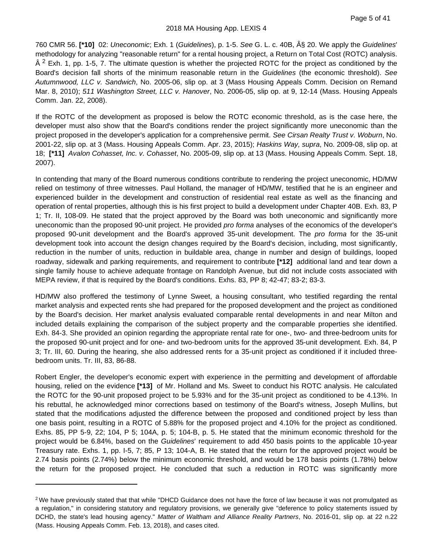760 CMR 56. **[\*10]** 02: *Uneconomic*; Exh. 1 (*Guidelines*), p. 1-5. *See* G. L. c. 40B, § 20. We apply the *Guidelines*' methodology for analyzing "reasonable return" for a rental housing project, a Return on Total Cost (ROTC) analysis.  $\hat{A}^2$  $\hat{A}^2$  Exh. 1, pp. 1-5, 7. The ultimate question is whether the projected ROTC for the project as conditioned by the Board's decision fall shorts of the minimum reasonable return in the *Guidelines* (the economic threshold). *See Autumnwood, LLC v. Sandwich*, No. 2005-06, slip op. at 3 (Mass Housing Appeals Comm. Decision on Remand Mar. 8, 2010); *511 Washington Street, LLC v. Hanover*, No. 2006-05, slip op. at 9, 12-14 (Mass. Housing Appeals Comm. Jan. 22, 2008).

If the ROTC of the development as proposed is below the ROTC economic threshold, as is the case here, the developer must also show that the Board's conditions render the project significantly more uneconomic than the project proposed in the developer's application for a comprehensive permit. *See Cirsan Realty Trust v. Woburn*, No. 2001-22, slip op. at 3 (Mass. Housing Appeals Comm. Apr. 23, 2015); *Haskins Way, supra*, No. 2009-08, slip op. at 18; **[\*11]** *Avalon Cohasset, Inc. v. Cohasset*, No. 2005-09, slip op. at 13 (Mass. Housing Appeals Comm. Sept. 18, 2007).

In contending that many of the Board numerous conditions contribute to rendering the project uneconomic, HD/MW relied on testimony of three witnesses. Paul Holland, the manager of HD/MW, testified that he is an engineer and experienced builder in the development and construction of residential real estate as well as the financing and operation of rental properties, although this is his first project to build a development under Chapter 40B. Exh. 83, P 1; Tr. II, 108-09. He stated that the project approved by the Board was both uneconomic and significantly more uneconomic than the proposed 90-unit project. He provided *pro forma* analyses of the economics of the developer's proposed 90-unit development and the Board's approved 35-unit development. The *pro forma* for the 35-unit development took into account the design changes required by the Board's decision, including, most significantly, reduction in the number of units, reduction in buildable area, change in number and design of buildings, looped roadway, sidewalk and parking requirements, and requirement to contribute **[\*12]** additional land and tear down a single family house to achieve adequate frontage on Randolph Avenue, but did not include costs associated with MEPA review, if that is required by the Board's conditions. Exhs. 83, PP 8; 42-47; 83-2; 83-3.

HD/MW also proffered the testimony of Lynne Sweet, a housing consultant, who testified regarding the rental market analysis and expected rents she had prepared for the proposed development and the project as conditioned by the Board's decision. Her market analysis evaluated comparable rental developments in and near Milton and included details explaining the comparison of the subject property and the comparable properties she identified. Exh. 84-3. She provided an opinion regarding the appropriate rental rate for one-, two- and three-bedroom units for the proposed 90-unit project and for one- and two-bedroom units for the approved 35-unit development. Exh. 84, P 3; Tr. III, 60. During the hearing, she also addressed rents for a 35-unit project as conditioned if it included threebedroom units. Tr. III, 83, 86-88.

Robert Engler, the developer's economic expert with experience in the permitting and development of affordable housing, relied on the evidence **[\*13]** of Mr. Holland and Ms. Sweet to conduct his ROTC analysis. He calculated the ROTC for the 90-unit proposed project to be 5.93% and for the 35-unit project as conditioned to be 4.13%. In his rebuttal, he acknowledged minor corrections based on testimony of the Board's witness, Joseph Mullins, but stated that the modifications adjusted the difference between the proposed and conditioned project by less than one basis point, resulting in a ROTC of 5.88% for the proposed project and 4.10% for the project as conditioned. Exhs. 85, PP 5-9, 22; 104, P 5; 104A, p. 5; 104-B, p. 5. He stated that the minimum economic threshold for the project would be 6.84%, based on the *Guidelines*' requirement to add 450 basis points to the applicable 10-year Treasury rate. Exhs. 1, pp. I-5, 7; 85, P 13; 104-A, B. He stated that the return for the approved project would be 2.74 basis points (2.74%) below the minimum economic threshold, and would be 178 basis points (1.78%) below the return for the proposed project. He concluded that such a reduction in ROTC was significantly more

<span id="page-8-0"></span><sup>&</sup>lt;sup>2</sup> We have previously stated that that while "DHCD Guidance does not have the force of law because it was not promulgated as a regulation," in considering statutory and regulatory provisions, we generally give "deference to policy statements issued by DCHD, the state's lead housing agency." *Matter of Waltham and Alliance Reality Partners*, No. 2016-01, slip op. at 22 n.22 (Mass. Housing Appeals Comm. Feb. 13, 2018), and cases cited.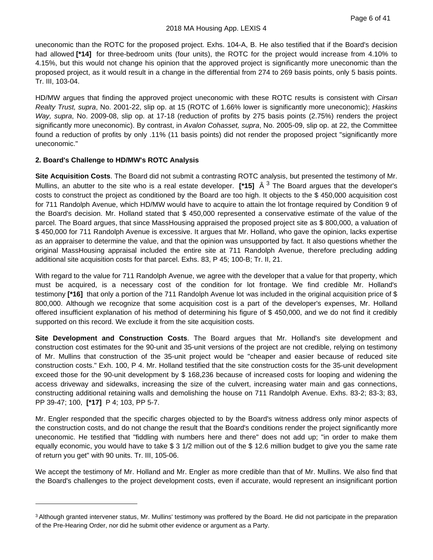uneconomic than the ROTC for the proposed project. Exhs. 104-A, B. He also testified that if the Board's decision had allowed [\*14] for three-bedroom units (four units), the ROTC for the project would increase from 4.10% to 4.15%, but this would not change his opinion that the approved project is significantly more uneconomic than the proposed project, as it would result in a change in the differential from 274 to 269 basis points, only 5 basis points. Tr. III, 103-04.

HD/MW argues that finding the approved project uneconomic with these ROTC results is consistent with *Cirsan Realty Trust, supra*, No. 2001-22, slip op. at 15 (ROTC of 1.66% lower is significantly more uneconomic); *Haskins Way, supra*, No. 2009-08, slip op. at 17-18 (reduction of profits by 275 basis points (2.75%) renders the project significantly more uneconomic). By contrast, in *Avalon Cohasset, supra*, No. 2005-09, slip op. at 22, the Committee found a reduction of profits by only .11% (11 basis points) did not render the proposed project "significantly more uneconomic."

# **2. Board's Challenge to HD/MW's ROTC Analysis**

**Site Acquisition Costs**. The Board did not submit a contrasting ROTC analysis, but presented the testimony of Mr. Mullins, an abutter to the site who is a real estate developer. **[\*15]** Â [3](#page-9-0) The Board argues that the developer's costs to construct the project as conditioned by the Board are too high. It objects to the \$ 450,000 acquisition cost for 711 Randolph Avenue, which HD/MW would have to acquire to attain the lot frontage required by Condition 9 of the Board's decision. Mr. Holland stated that \$ 450,000 represented a conservative estimate of the value of the parcel. The Board argues, that since MassHousing appraised the proposed project site as \$ 800,000, a valuation of \$ 450,000 for 711 Randolph Avenue is excessive. It argues that Mr. Holland, who gave the opinion, lacks expertise as an appraiser to determine the value, and that the opinion was unsupported by fact. It also questions whether the original MassHousing appraisal included the entire site at 711 Randolph Avenue, therefore precluding adding additional site acquisition costs for that parcel. Exhs. 83, P 45; 100-B; Tr. II, 21.

With regard to the value for 711 Randolph Avenue, we agree with the developer that a value for that property, which must be acquired, is a necessary cost of the condition for lot frontage. We find credible Mr. Holland's testimony **[\*16]** that only a portion of the 711 Randolph Avenue lot was included in the original acquisition price of \$ 800,000. Although we recognize that some acquisition cost is a part of the developer's expenses, Mr. Holland offered insufficient explanation of his method of determining his figure of \$ 450,000, and we do not find it credibly supported on this record. We exclude it from the site acquisition costs.

**Site Development and Construction Costs**. The Board argues that Mr. Holland's site development and construction cost estimates for the 90-unit and 35-unit versions of the project are not credible, relying on testimony of Mr. Mullins that construction of the 35-unit project would be "cheaper and easier because of reduced site construction costs." Exh. 100, P 4. Mr. Holland testified that the site construction costs for the 35-unit development exceed those for the 90-unit development by \$ 168,236 because of increased costs for looping and widening the access driveway and sidewalks, increasing the size of the culvert, increasing water main and gas connections, constructing additional retaining walls and demolishing the house on 711 Randolph Avenue. Exhs. 83-2; 83-3; 83, PP 39-47; 100, **[\*17]** P 4; 103, PP 5-7.

Mr. Engler responded that the specific charges objected to by the Board's witness address only minor aspects of the construction costs, and do not change the result that the Board's conditions render the project significantly more uneconomic. He testified that "fiddling with numbers here and there" does not add up; "in order to make them equally economic, you would have to take \$ 3 1/2 million out of the \$ 12.6 million budget to give you the same rate of return you get" with 90 units. Tr. III, 105-06.

We accept the testimony of Mr. Holland and Mr. Engler as more credible than that of Mr. Mullins. We also find that the Board's challenges to the project development costs, even if accurate, would represent an insignificant portion

<span id="page-9-0"></span><sup>&</sup>lt;sup>3</sup> Although granted intervener status, Mr. Mullins' testimony was proffered by the Board. He did not participate in the preparation of the Pre-Hearing Order, nor did he submit other evidence or argument as a Party.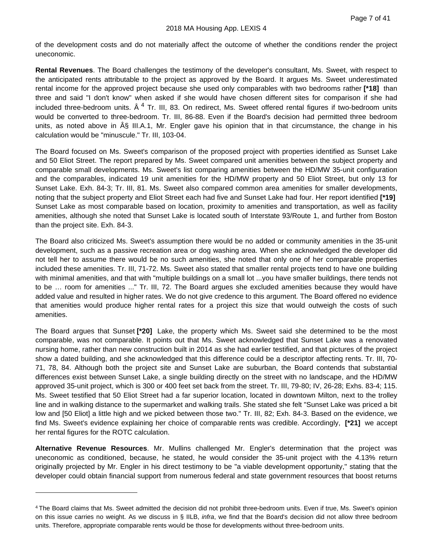of the development costs and do not materially affect the outcome of whether the conditions render the project uneconomic.

**Rental Revenues**. The Board challenges the testimony of the developer's consultant, Ms. Sweet, with respect to the anticipated rents attributable to the project as approved by the Board. It argues Ms. Sweet underestimated rental income for the approved project because she used only comparables with two bedrooms rather **[\*18]** than three and said "I don't know" when asked if she would have chosen different sites for comparison if she had included three-bedroom units.  $\hat{A}^4$  $\hat{A}^4$  Tr. III, 83. On redirect, Ms. Sweet offered rental figures if two-bedroom units would be converted to three-bedroom. Tr. III, 86-88. Even if the Board's decision had permitted three bedroom units, as noted above in § III.A.1, Mr. Engler gave his opinion that in that circumstance, the change in his calculation would be "minuscule." Tr. III, 103-04.

The Board focused on Ms. Sweet's comparison of the proposed project with properties identified as Sunset Lake and 50 Eliot Street. The report prepared by Ms. Sweet compared unit amenities between the subject property and comparable small developments. Ms. Sweet's list comparing amenities between the HD/MW 35-unit configuration and the comparables, indicated 19 unit amenities for the HD/MW property and 50 Eliot Street, but only 13 for Sunset Lake. Exh. 84-3; Tr. III, 81. Ms. Sweet also compared common area amenities for smaller developments, noting that the subject property and Eliot Street each had five and Sunset Lake had four. Her report identified **[\*19]** Sunset Lake as most comparable based on location, proximity to amenities and transportation, as well as facility amenities, although she noted that Sunset Lake is located south of Interstate 93/Route 1, and further from Boston than the project site. Exh. 84-3.

The Board also criticized Ms. Sweet's assumption there would be no added or community amenities in the 35-unit development, such as a passive recreation area or dog washing area. When she acknowledged the developer did not tell her to assume there would be no such amenities, she noted that only one of her comparable properties included these amenities. Tr. III, 71-72. Ms. Sweet also stated that smaller rental projects tend to have one building with minimal amenities, and that with "multiple buildings on a small lot ...you have smaller buildings, there tends not to be … room for amenities ..." Tr. III, 72. The Board argues she excluded amenities because they would have added value and resulted in higher rates. We do not give credence to this argument. The Board offered no evidence that amenities would produce higher rental rates for a project this size that would outweigh the costs of such amenities.

The Board argues that Sunset **[\*20]** Lake, the property which Ms. Sweet said she determined to be the most comparable, was not comparable. It points out that Ms. Sweet acknowledged that Sunset Lake was a renovated nursing home, rather than new construction built in 2014 as she had earlier testified, and that pictures of the project show a dated building, and she acknowledged that this difference could be a descriptor affecting rents. Tr. III, 70- 71, 78, 84. Although both the project site and Sunset Lake are suburban, the Board contends that substantial differences exist between Sunset Lake, a single building directly on the street with no landscape, and the HD/MW approved 35-unit project, which is 300 or 400 feet set back from the street. Tr. III, 79-80; IV, 26-28; Exhs. 83-4; 115. Ms. Sweet testified that 50 Eliot Street had a far superior location, located in downtown Milton, next to the trolley line and in walking distance to the supermarket and walking trails. She stated she felt "Sunset Lake was priced a bit low and [50 Eliot] a little high and we picked between those two." Tr. III, 82; Exh. 84-3. Based on the evidence, we find Ms. Sweet's evidence explaining her choice of comparable rents was credible. Accordingly, **[\*21]** we accept her rental figures for the ROTC calculation.

**Alternative Revenue Resources**. Mr. Mullins challenged Mr. Engler's determination that the project was uneconomic as conditioned, because, he stated, he would consider the 35-unit project with the 4.13% return originally projected by Mr. Engler in his direct testimony to be "a viable development opportunity," stating that the developer could obtain financial support from numerous federal and state government resources that boost returns

<span id="page-10-0"></span><sup>4</sup> The Board claims that Ms. Sweet admitted the decision did not prohibit three-bedroom units. Even if true, Ms. Sweet's opinion on this issue carries no weight. As we discuss in § IILB, *infra*, we find that the Board's decision did not allow three bedroom units. Therefore, appropriate comparable rents would be those for developments without three-bedroom units.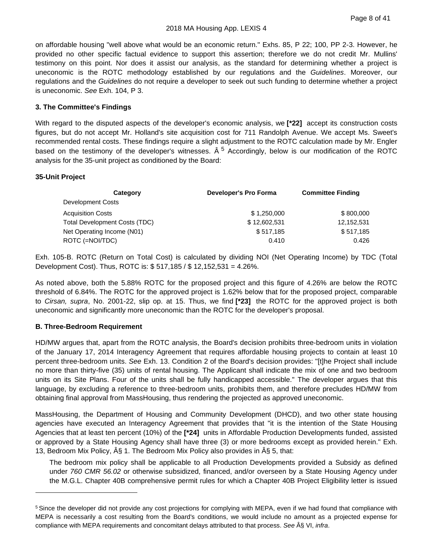on affordable housing "well above what would be an economic return." Exhs. 85, P 22; 100, PP 2-3. However, he provided no other specific factual evidence to support this assertion; therefore we do not credit Mr. Mullins' testimony on this point. Nor does it assist our analysis, as the standard for determining whether a project is uneconomic is the ROTC methodology established by our regulations and the *Guidelines*. Moreover, our regulations and the *Guidelines* do not require a developer to seek out such funding to determine whether a project is uneconomic. *See* Exh. 104, P 3.

# **3. The Committee's Findings**

With regard to the disputed aspects of the developer's economic analysis, we **[\*22]** accept its construction costs figures, but do not accept Mr. Holland's site acquisition cost for 711 Randolph Avenue. We accept Ms. Sweet's recommended rental costs. These findings require a slight adjustment to the ROTC calculation made by Mr. Engler based on the testimony of the developer's witnesses.  $\hat{A}^5$  $\hat{A}^5$  Accordingly, below is our modification of the ROTC analysis for the 35-unit project as conditioned by the Board:

#### **35-Unit Project**

| Category                             | Developer's Pro Forma | <b>Committee Finding</b> |
|--------------------------------------|-----------------------|--------------------------|
| Development Costs                    |                       |                          |
| <b>Acquisition Costs</b>             | \$1,250,000           | \$800,000                |
| <b>Total Development Costs (TDC)</b> | \$12,602,531          | 12,152,531               |
| Net Operating Income (N01)           | \$517.185             | \$517,185                |
| ROTC (=NOI/TDC)                      | 0.410                 | 0.426                    |

Exh. 105-B. ROTC (Return on Total Cost) is calculated by dividing NOI (Net Operating Income) by TDC (Total Development Cost). Thus, ROTC is: \$ 517,185 / \$ 12,152,531 = 4.26%.

As noted above, both the 5.88% ROTC for the proposed project and this figure of 4.26% are below the ROTC threshold of 6.84%. The ROTC for the approved project is 1.62% below that for the proposed project, comparable to *Cirsan, supra*, No. 2001-22, slip op. at 15. Thus, we find **[\*23]** the ROTC for the approved project is both uneconomic and significantly more uneconomic than the ROTC for the developer's proposal.

# **B. Three-Bedroom Requirement**

HD/MW argues that, apart from the ROTC analysis, the Board's decision prohibits three-bedroom units in violation of the January 17, 2014 Interagency Agreement that requires affordable housing projects to contain at least 10 percent three-bedroom units. *See* Exh. 13. Condition 2 of the Board's decision provides: "[t]he Project shall include no more than thirty-five (35) units of rental housing. The Applicant shall indicate the mix of one and two bedroom units on its Site Plans. Four of the units shall be fully handicapped accessible." The developer argues that this language, by excluding a reference to three-bedroom units, prohibits them, and therefore precludes HD/MW from obtaining final approval from MassHousing, thus rendering the projected as approved uneconomic.

MassHousing, the Department of Housing and Community Development (DHCD), and two other state housing agencies have executed an Interagency Agreement that provides that "it is the intention of the State Housing Agencies that at least ten percent (10%) of the **[\*24]** units in Affordable Production Developments funded, assisted or approved by a State Housing Agency shall have three (3) or more bedrooms except as provided herein." Exh. 13, Bedroom Mix Policy,  $\hat{A}\hat{S}$  1. The Bedroom Mix Policy also provides in  $\hat{A}\hat{S}$  5, that:

The bedroom mix policy shall be applicable to all Production Developments provided a Subsidy as defined under *760 CMR 56.02* or otherwise subsidized, financed, and/or overseen by a State Housing Agency under the M.G.L. Chapter 40B comprehensive permit rules for which a Chapter 40B Project Eligibility letter is issued

<span id="page-11-0"></span><sup>5</sup> Since the developer did not provide any cost projections for complying with MEPA, even if we had found that compliance with MEPA is necessarily a cost resulting from the Board's conditions, we would include no amount as a projected expense for compliance with MEPA requirements and concomitant delays attributed to that process. See  $\hat{A}$ § VI, *infra*.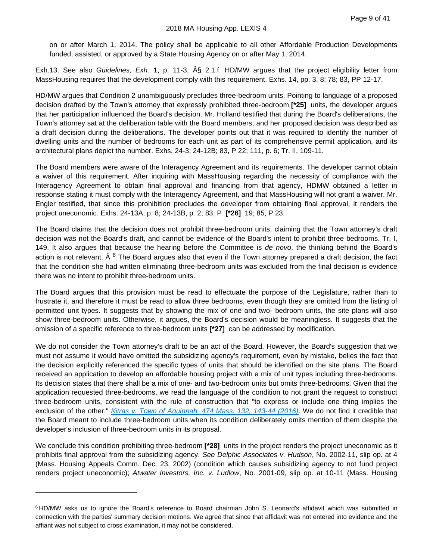on or after March 1, 2014. The policy shall be applicable to all other Affordable Production Developments funded, assisted, or approved by a State Housing Agency on or after May 1, 2014.

Exh.13. See also *Guidelines, Exh.* 1, p. 11-3, § 2.1.f. HD/MW argues that the project eligibility letter from MassHousing requires that the development comply with this requirement. Exhs. 14, pp. 3, 8; 78; 83, PP 12-17.

HD/MW argues that Condition 2 unambiguously precludes three-bedroom units. Pointing to language of a proposed decision drafted by the Town's attorney that expressly prohibited three-bedroom **[\*25]** units, the developer argues that her participation influenced the Board's decision. Mr. Holland testified that during the Board's deliberations, the Town's attorney sat at the deliberation table with the Board members, and her proposed decision was described as a draft decision during the deliberations. The developer points out that it was required to identify the number of dwelling units and the number of bedrooms for each unit as part of its comprehensive permit application, and its architectural plans depict the number. Exhs. 24-3; 24-12B; 83, P 22; 111, p. 6; Tr. II, 109-11.

The Board members were aware of the Interagency Agreement and its requirements. The developer cannot obtain a waiver of this requirement. After inquiring with MassHousing regarding the necessity of compliance with the Interagency Agreement to obtain final approval and financing from that agency, HDMW obtained a letter in response stating it must comply with the Interagency Agreement, and that MassHousing will not grant a waiver. Mr. Engler testified, that since this prohibition precludes the developer from obtaining final approval, it renders the project uneconomic. Exhs. 24-13A, p. 8; 24-13B, p. 2; 83, P **[\*26]** 19; 85, P 23.

The Board claims that the decision does not prohibit three-bedroom units, claiming that the Town attorney's draft decision was not the Board's draft, and cannot be evidence of the Board's intent to prohibit three bedrooms. Tr. I, 149. It also argues that because the hearing before the Committee is *de novo*, the thinking behind the Board's action is not relevant. Â <sup>[6](#page-12-0)</sup> The Board argues also that even if the Town attorney prepared a draft decision, the fact that the condition she had written eliminating three-bedroom units was excluded from the final decision is evidence there was no intent to prohibit three-bedroom units.

The Board argues that this provision must be read to effectuate the purpose of the Legislature, rather than to frustrate it, and therefore it must be read to allow three bedrooms, even though they are omitted from the listing of permitted unit types. It suggests that by showing the mix of one and two- bedroom units, the site plans will also show three-bedroom units. Otherwise, it argues, the Board's decision would be meaningless. It suggests that the omission of a specific reference to three-bedroom units **[\*27]** can be addressed by modification.

We do not consider the Town attorney's draft to be an act of the Board. However, the Board's suggestion that we must not assume it would have omitted the subsidizing agency's requirement, even by mistake, belies the fact that the decision explicitly referenced the specific types of units that should be identified on the site plans. The Board received an application to develop an affordable housing project with a mix of unit types including three-bedrooms. Its decision states that there shall be a mix of one- and two-bedroom units but omits three-bedrooms. Given that the application requested three-bedrooms, we read the language of the condition to not grant the request to construct three-bedroom units, consistent with the rule of construction that "to express or include one thing implies the exclusion of the other." *[Kitras v. Town of Aquinnah, 474 Mass. 132, 143-44 \(2016\)](https://plus.lexis.com/api/document?collection=cases&id=urn:contentItem:5JJ5-N791-F04G-P1BW-00000-00&context=1530671)*. We do not find it credible that the Board meant to include three-bedroom units when its condition deliberately omits mention of them despite the developer's inclusion of three-bedroom units in its proposal.

We conclude this condition prohibiting three-bedroom **[\*28]** units in the project renders the project uneconomic as it prohibits final approval from the subsidizing agency. *See Delphic Associates v. Hudson*, No. 2002-11, slip op. at 4 (Mass. Housing Appeals Comm. Dec. 23, 2002) (condition which causes subsidizing agency to not fund project renders project uneconomic); *Atwater Investors, Inc. v. Ludlow*, No. 2001-09, slip op. at 10-11 (Mass. Housing

<span id="page-12-0"></span><sup>6</sup> HD/MW asks us to ignore the Board's reference to Board chairman John S. Leonard's affidavit which was submitted in connection with the parties' summary decision motions. We agree that since that affidavit was not entered into evidence and the affiant was not subject to cross examination, it may not be considered.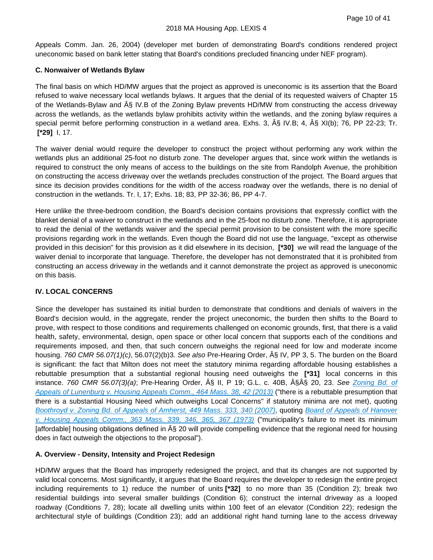Appeals Comm. Jan. 26, 2004) (developer met burden of demonstrating Board's conditions rendered project uneconomic based on bank letter stating that Board's conditions precluded financing under NEF program).

# **C. Nonwaiver of Wetlands Bylaw**

The final basis on which HD/MW argues that the project as approved is uneconomic is its assertion that the Board refused to waive necessary local wetlands bylaws. It argues that the denial of its requested waivers of Chapter 15 of the Wetlands-Bylaw and § IV.B of the Zoning Bylaw prevents HD/MW from constructing the access driveway across the wetlands, as the wetlands bylaw prohibits activity within the wetlands, and the zoning bylaw requires a special permit before performing construction in a wetland area. Exhs. 3, § IV.B; 4, § XI(b); 76, PP 22-23; Tr. **[\*29]** I, 17.

The waiver denial would require the developer to construct the project without performing any work within the wetlands plus an additional 25-foot no disturb zone. The developer argues that, since work within the wetlands is required to construct the only means of access to the buildings on the site from Randolph Avenue, the prohibition on constructing the access driveway over the wetlands precludes construction of the project. The Board argues that since its decision provides conditions for the width of the access roadway over the wetlands, there is no denial of construction in the wetlands. Tr. I, 17; Exhs. 18; 83, PP 32-36; 86, PP 4-7.

Here unlike the three-bedroom condition, the Board's decision contains provisions that expressly conflict with the blanket denial of a waiver to construct in the wetlands and in the 25-foot no disturb zone. Therefore, it is appropriate to read the denial of the wetlands waiver and the special permit provision to be consistent with the more specific provisions regarding work in the wetlands. Even though the Board did not use the language, "except as otherwise provided in this decision" for this provision as it did elsewhere in its decision, **[\*30]** we will read the language of the waiver denial to incorporate that language. Therefore, the developer has not demonstrated that it is prohibited from constructing an access driveway in the wetlands and it cannot demonstrate the project as approved is uneconomic on this basis.

# **IV. LOCAL CONCERNS**

Since the developer has sustained its initial burden to demonstrate that conditions and denials of waivers in the Board's decision would, in the aggregate, render the project uneconomic, the burden then shifts to the Board to prove, with respect to those conditions and requirements challenged on economic grounds, first, that there is a valid health, safety, environmental, design, open space or other local concern that supports each of the conditions and requirements imposed, and then, that such concern outweighs the regional need for low and moderate income housing. *760 CMR 56.07(1)(c)*, 56.07(2)(b)3. *See also* Pre-Hearing Order, § IV, PP 3, 5. The burden on the Board is significant: the fact that Milton does not meet the statutory minima regarding affordable housing establishes a rebuttable presumption that a substantial regional housing need outweighs the **[\*31]** local concerns in this instance. *760 CMR 56.07(3)(a)*; Pre-Hearing Order, § II, P 19; G.L. c. 40B, §§ 20, 23. *See [Zoning Bd. of](https://plus.lexis.com/api/document?collection=cases&id=urn:contentItem:57FR-VBK1-F04G-P1VT-00000-00&context=1530671)  [Appeals of Lunenburg v. Housing Appeals Comm., 464 Mass. 38, 42 \(2013\)](https://plus.lexis.com/api/document?collection=cases&id=urn:contentItem:57FR-VBK1-F04G-P1VT-00000-00&context=1530671)* ("there is a rebuttable presumption that there is a substantial Housing Need which outweighs Local Concerns" if statutory minima are not met), quoting *[Boothroyd v. Zoning Bd. of Appeals of Amherst, 449 Mass. 333, 340 \(2007\)](https://plus.lexis.com/api/document?collection=cases&id=urn:contentItem:4NYT-K7B0-TXFT-831J-00000-00&context=1530671)*, quoting *[Board of Appeals of Hanover](https://plus.lexis.com/api/document?collection=cases&id=urn:contentItem:3RRJ-7GR0-003C-T219-00000-00&context=1530671)  [v. Housing Appeals Comm., 363 Mass. 339, 346, 365, 367 \(1973\)](https://plus.lexis.com/api/document?collection=cases&id=urn:contentItem:3RRJ-7GR0-003C-T219-00000-00&context=1530671)* ("municipality's failure to meet its minimum [affordable] housing obligations defined in  $\hat{A}\hat{S}$  20 will provide compelling evidence that the regional need for housing does in fact outweigh the objections to the proposal").

# **A. Overview - Density, Intensity and Project Redesign**

HD/MW argues that the Board has improperly redesigned the project, and that its changes are not supported by valid local concerns. Most significantly, it argues that the Board requires the developer to redesign the entire project including requirements to 1) reduce the number of units **[\*32]** to no more than 35 (Condition 2); break two residential buildings into several smaller buildings (Condition 6); construct the internal driveway as a looped roadway (Conditions 7, 28); locate all dwelling units within 100 feet of an elevator (Condition 22); redesign the architectural style of buildings (Condition 23); add an additional right hand turning lane to the access driveway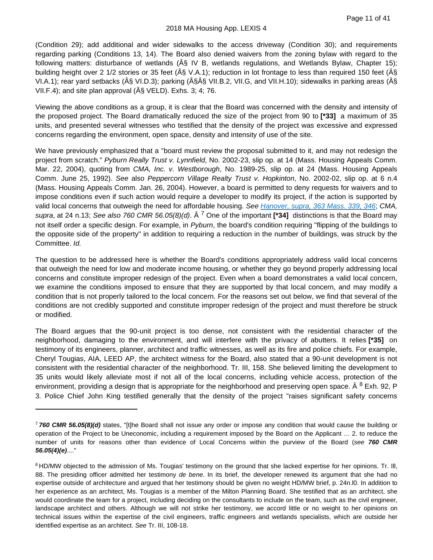(Condition 29); add additional and wider sidewalks to the access driveway (Condition 30); and requirements regarding parking (Conditions 13, 14). The Board also denied waivers from the zoning bylaw with regard to the following matters: disturbance of wetlands ( $\hat{A}\hat{s}$  IV B, wetlands regulations, and Wetlands Bylaw, Chapter 15); building height over 2 1/2 stories or 35 feet ( $\hat{A}\hat{S}$  V.A.1); reduction in lot frontage to less than required 150 feet ( $\hat{A}\hat{S}$ VI.A.1); rear yard setbacks (§ VI.D.3); parking (§Â§ VII.B.2, VII.G, and VII.H.10); sidewalks in parking areas (§ VII.F.4); and site plan approval  $(\hat{A}\hat{S}$  VELD). Exhs. 3; 4; 76.

Viewing the above conditions as a group, it is clear that the Board was concerned with the density and intensity of the proposed project. The Board dramatically reduced the size of the project from 90 to **[\*33]** a maximum of 35 units, and presented several witnesses who testified that the density of the project was excessive and expressed concerns regarding the environment, open space, density and intensity of use of the site.

We have previously emphasized that a "board must review the proposal submitted to it, and may not redesign the project from scratch." *Pyburn Really Trust v. Lynnfield*, No. 2002-23, slip op. at 14 (Mass. Housing Appeals Comm. Mar. 22, 2004), quoting from *CMA, Inc. v. Westborough*, No. 1989-25, slip op. at 24 (Mass. Housing Appeals Comm. June 25, 1992). *See* also *Peppercorn Village Realty Trust v. Hopkinton*, No. 2002-02, slip op. at 6 n.4 (Mass. Housing Appeals Comm. Jan. 26, 2004). However, a board is permitted to deny requests for waivers and to impose conditions even if such action would require a developer to modify its project, if the action is supported by valid local concerns that outweigh the need for affordable housing. *See [Hanover, supra, 363 Mass. 339, 346](https://plus.lexis.com/api/document?collection=cases&id=urn:contentItem:3RRJ-7GR0-003C-T219-00000-00&context=1530671)*; *CMA, supra*, at 24 n.13; *See also 760 CMR 56.05(8)(d)*. Â [7](#page-14-0) One of the important **[\*34]** distinctions is that the Board may not itself order a specific design. For example, in *Pyburn*, the board's condition requiring "flipping of the buildings to the opposite side of the property" in addition to requiring a reduction in the number of buildings, was struck by the Committee. *Id.*

The question to be addressed here is whether the Board's conditions appropriately address valid local concerns that outweigh the need for low and moderate income housing, or whether they go beyond properly addressing local concerns and constitute improper redesign of the project. Even when a board demonstrates a valid local concern, we examine the conditions imposed to ensure that they are supported by that local concern, and may modify a condition that is not properly tailored to the local concern. For the reasons set out below, we find that several of the conditions are not credibly supported and constitute improper redesign of the project and must therefore be struck or modified.

The Board argues that the 90-unit project is too dense, not consistent with the residential character of the neighborhood, damaging to the environment, and will interfere with the privacy of abutters. It relies **[\*35]** on testimony of its engineers, planner, architect and traffic witnesses, as well as its fire and police chiefs. For example, Cheryl Tougias, AIA, LEED AP, the architect witness for the Board, also stated that a 90-unit development is not consistent with the residential character of the neighborhood. Tr. III, 158. She believed limiting the development to 35 units would likely alleviate most if not all of the local concerns, including vehicle access, protection of the environment, providing a design that is appropriate for the neighborhood and preserving open space.  $\hat{A}^8$  $\hat{A}^8$  Exh. 92, P 3. Police Chief John King testified generally that the density of the project "raises significant safety concerns

<span id="page-14-0"></span><sup>7</sup> *760 CMR 56.05(8)(d)* states, "[t]he Board shall not issue any order or impose any condition that would cause the building or operation of the Project to be Uneconomic, including a requirement imposed by the Board on the Applicant … 2. to reduce the number of units for reasons other than evidence of Local Concerns within the purview of the Board (*see 760 CMR 56.05(4)(e)*...."

<span id="page-14-1"></span><sup>&</sup>lt;sup>8</sup> HD/MW objected to the admission of Ms. Tougias' testimony on the ground that she lacked expertise for her opinions. Tr. III, 88. The presiding officer admitted her testimony *de bene*. In its brief, the developer renewed its argument that she had no expertise outside of architecture and argued that her testimony should be given no weight HD/MW brief, p. 24n.l0. In addition to her experience as an architect, Ms. Tougias is a member of the Milton Planning Board. She testified that as an architect, she would coordinate the team for a project, including deciding on the consultants to include on the team, such as the civil engineer, landscape architect and others. Although we will not strike her testimony, we accord little or no weight to her opinions on technical issues within the expertise of the civil engineers, traffic engineers and wetlands specialists, which are outside her identified expertise as an architect. *See* Tr. III, 108-18.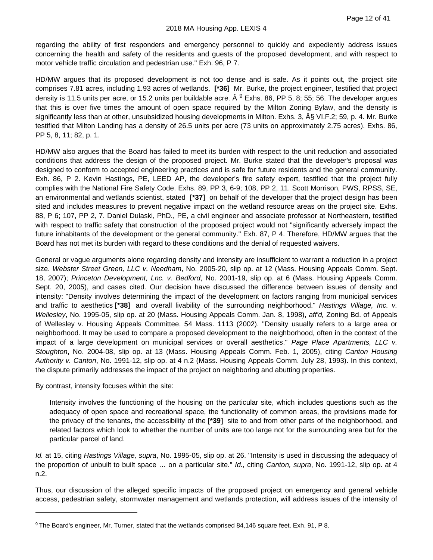regarding the ability of first responders and emergency personnel to quickly and expediently address issues concerning the health and safety of the residents and guests of the proposed development, and with respect to motor vehicle traffic circulation and pedestrian use." Exh. 96, P 7.

HD/MW argues that its proposed development is not too dense and is safe. As it points out, the project site comprises 7.81 acres, including 1.93 acres of wetlands. **[\*36]** Mr. Burke, the project engineer, testified that project density is 11.5 units per acre, or 15.2 units per buildable acre.  $\hat{A}^9$  $\hat{A}^9$  Exhs. 86, PP 5, 8; 55; 56. The developer argues that this is over five times the amount of open space required by the Milton Zoning Bylaw, and the density is significantly less than at other, unsubsidized housing developments in Milton. Exhs. 3, § VI.F.2; 59, p. 4. Mr. Burke testified that Milton Landing has a density of 26.5 units per acre (73 units on approximately 2.75 acres). Exhs. 86, PP 5, 8, 11; 82, p. 1.

HD/MW also argues that the Board has failed to meet its burden with respect to the unit reduction and associated conditions that address the design of the proposed project. Mr. Burke stated that the developer's proposal was designed to conform to accepted engineering practices and is safe for future residents and the general community. Exh. 86, P 2. Kevin Hastings, PE, LEED AP, the developer's fire safety expert, testified that the project fully complies with the National Fire Safety Code. Exhs. 89, PP 3, 6-9; 108, PP 2, 11. Scott Morrison, PWS, RPSS, SE, an environmental and wetlands scientist, stated **[\*37]** on behalf of the developer that the project design has been sited and includes measures to prevent negative impact on the wetland resource areas on the project site. Exhs. 88, P 6; 107, PP 2, 7. Daniel Dulaski, PhD., PE, a civil engineer and associate professor at Northeastern, testified with respect to traffic safety that construction of the proposed project would not "significantly adversely impact the future inhabitants of the development or the general community." Exh. 87, P 4. Therefore, HD/MW argues that the Board has not met its burden with regard to these conditions and the denial of requested waivers.

General or vague arguments alone regarding density and intensity are insufficient to warrant a reduction in a project size. *Webster Street Green, LLC v. Needham*, No. 2005-20, slip op. at 12 (Mass. Housing Appeals Comm. Sept. 18, 2007); *Princeton Development, Lnc. v. Bedford*, No. 2001-19, slip op. at 6 (Mass. Housing Appeals Comm. Sept. 20, 2005), and cases cited. Our decision have discussed the difference between issues of density and intensity: "Density involves determining the impact of the development on factors ranging from municipal services and traffic to aesthetics **[\*38]** and overall livability of the surrounding neighborhood." *Hastings Village, Inc. v. Wellesley*, No. 1995-05, slip op. at 20 (Mass. Housing Appeals Comm. Jan. 8, 1998), *aff'd,* Zoning Bd. of Appeals of Wellesley v. Housing Appeals Committee, 54 Mass. 1113 (2002). "Density usually refers to a large area or neighborhood. It may be used to compare a proposed development to the neighborhood, often in the context of the impact of a large development on municipal services or overall aesthetics." *Page Place Apartments, LLC v. Stoughton*, No. 2004-08, slip op. at 13 (Mass. Housing Appeals Comm. Feb. 1, 2005), citing *Canton Housing Authority v. Canton*, No. 1991-12, slip op. at 4 n.2 (Mass. Housing Appeals Comm. July 28, 1993). In this context, the dispute primarily addresses the impact of the project on neighboring and abutting properties.

By contrast, intensity focuses within the site:

Intensity involves the functioning of the housing on the particular site, which includes questions such as the adequacy of open space and recreational space, the functionality of common areas, the provisions made for the privacy of the tenants, the accessibility of the **[\*39]** site to and from other parts of the neighborhood, and related factors which look to whether the number of units are too large not for the surrounding area but for the particular parcel of land.

*Id.* at 15, citing *Hastings Village, supra*, No. 1995-05, slip op. at 26. "Intensity is used in discussing the adequacy of the proportion of unbuilt to built space … on a particular site." *Id.*, citing *Canton, supra*, No. 1991-12, slip op. at 4 n.2.

Thus, our discussion of the alleged specific impacts of the proposed project on emergency and general vehicle access, pedestrian safety, stormwater management and wetlands protection, will address issues of the intensity of

<span id="page-15-0"></span><sup>9</sup> The Board's engineer, Mr. Turner, stated that the wetlands comprised 84,146 square feet. Exh. 91, P 8.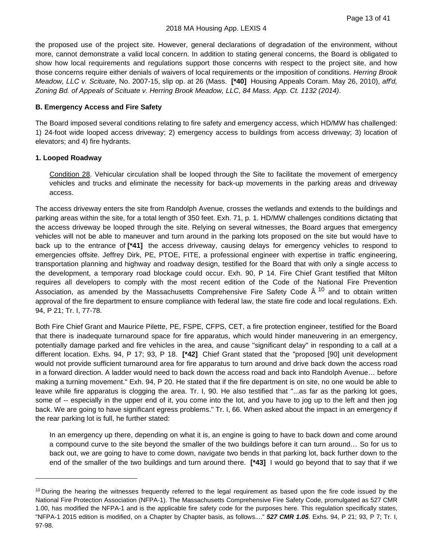the proposed use of the project site. However, general declarations of degradation of the environment, without more, cannot demonstrate a valid local concern. In addition to stating general concerns, the Board is obligated to show how local requirements and regulations support those concerns with respect to the project site, and how those concerns require either denials of waivers of local requirements or the imposition of conditions. *Herring Brook Meadow, LLC v. Scituate*, No. 2007-15, slip op. at 26 (Mass. **[\*40]** Housing Appeals Coram. May 26, 2010), *aff'd, Zoning Bd. of Appeals of Scituate v. Herring Brook Meadow, LLC, 84 Mass. App. Ct. 1132 (2014)*.

#### **B. Emergency Access and Fire Safety**

The Board imposed several conditions relating to fire safety and emergency access, which HD/MW has challenged: 1) 24-foot wide looped access driveway; 2) emergency access to buildings from access driveway; 3) location of elevators; and 4) fire hydrants.

#### **1. Looped Roadway**

Condition 28. Vehicular circulation shall be looped through the Site to facilitate the movement of emergency vehicles and trucks and eliminate the necessity for back-up movements in the parking areas and driveway access.

The access driveway enters the site from Randolph Avenue, crosses the wetlands and extends to the buildings and parking areas within the site, for a total length of 350 feet. Exh. 71, p. 1. HD/MW challenges conditions dictating that the access driveway be looped through the site. Relying on several witnesses, the Board argues that emergency vehicles will not be able to maneuver and turn around in the parking lots proposed on the site but would have to back up to the entrance of **[\*41]** the access driveway, causing delays for emergency vehicles to respond to emergencies offsite. Jeffrey Dirk, PE, PTOE, FITE, a professional engineer with expertise in traffic engineering, transportation planning and highway and roadway design, testified for the Board that with only a single access to the development, a temporary road blockage could occur. Exh. 90, P 14. Fire Chief Grant testified that Milton requires all developers to comply with the most recent edition of the Code of the National Fire Prevention Association, as amended by the Massachusetts Comprehensive Fire Safety Code  $\hat{A}$  <sup>[10](#page-16-0)</sup> and to obtain written approval of the fire department to ensure compliance with federal law, the state fire code and local regulations. Exh. 94, P 21; Tr. I, 77-78.

Both Fire Chief Grant and Maurice Pilette, PE, FSPE, CFPS, CET, a fire protection engineer, testified for the Board that there is inadequate turnaround space for fire apparatus, which would hinder maneuvering in an emergency, potentially damage parked and fire vehicles in the area, and cause "significant delay" in responding to a call at a different location. Exhs. 94, P 17; 93, P 18. **[\*42]** Chief Grant stated that the "proposed [90] unit development would not provide sufficient turnaround area for fire apparatus to turn around and drive back down the access road in a forward direction. A ladder would need to back down the access road and back into Randolph Avenue… before making a turning movement." Exh. 94, P 20. He stated that if the fire department is on site, no one would be able to leave while fire apparatus is clogging the area. Tr. I, 90. He also testified that "...as far as the parking lot goes, some of -- especially in the upper end of it, you come into the lot, and you have to jog up to the left and then jog back. We are going to have significant egress problems." Tr. I, 66. When asked about the impact in an emergency if the rear parking lot is full, he further stated:

In an emergency up there, depending on what it is, an engine is going to have to back down and come around a compound curve to the site beyond the smaller of the two buildings before it can turn around… So for us to back out, we are going to have to come down, navigate two bends in that parking lot, back further down to the end of the smaller of the two buildings and turn around there. **[\*43]** I would go beyond that to say that if we

<span id="page-16-0"></span> $10$  During the hearing the witnesses frequently referred to the legal requirement as based upon the fire code issued by the National Fire Protection Association (NFPA-1). The Massachusetts Comprehensive Fire Safety Code, promulgated as 527 CMR 1.00, has modified the NFPA-1 and is the applicable fire safety code for the purposes here. This regulation specifically states, "NFPA-1 2015 edition is modified, on a Chapter by Chapter basis, as follows...." *527 CMR 1.05*. Exhs. 94, P 21; 93, P 7; Tr. I, 97-98.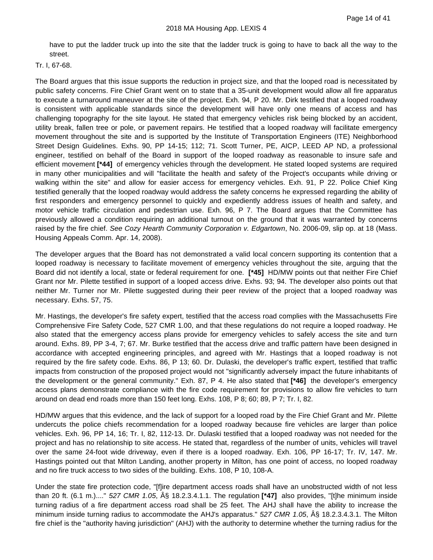have to put the ladder truck up into the site that the ladder truck is going to have to back all the way to the street.

#### Tr. I, 67-68.

The Board argues that this issue supports the reduction in project size, and that the looped road is necessitated by public safety concerns. Fire Chief Grant went on to state that a 35-unit development would allow all fire apparatus to execute a turnaround maneuver at the site of the project. Exh. 94, P 20. Mr. Dirk testified that a looped roadway is consistent with applicable standards since the development will have only one means of access and has challenging topography for the site layout. He stated that emergency vehicles risk being blocked by an accident, utility break, fallen tree or pole, or pavement repairs. He testified that a looped roadway will facilitate emergency movement throughout the site and is supported by the Institute of Transportation Engineers (ITE) Neighborhood Street Design Guidelines. Exhs. 90, PP 14-15; 112; 71. Scott Turner, PE, AICP, LEED AP ND, a professional engineer, testified on behalf of the Board in support of the looped roadway as reasonable to insure safe and efficient movement **[\*44]** of emergency vehicles through the development. He stated looped systems are required in many other municipalities and will "facilitate the health and safety of the Project's occupants while driving or walking within the site" and allow for easier access for emergency vehicles. Exh. 91, P 22. Police Chief King testified generally that the looped roadway would address the safety concerns he expressed regarding the ability of first responders and emergency personnel to quickly and expediently address issues of health and safety, and motor vehicle traffic circulation and pedestrian use. Exh. 96, P 7. The Board argues that the Committee has previously allowed a condition requiring an additional turnout on the ground that it was warranted by concerns raised by the fire chief. *See Cozy Hearth Community Corporation v. Edgartown*, No. 2006-09, slip op. at 18 (Mass. Housing Appeals Comm. Apr. 14, 2008).

The developer argues that the Board has not demonstrated a valid local concern supporting its contention that a looped roadway is necessary to facilitate movement of emergency vehicles throughout the site, arguing that the Board did not identify a local, state or federal requirement for one. **[\*45]** HD/MW points out that neither Fire Chief Grant nor Mr. Pilette testified in support of a looped access drive. Exhs. 93; 94. The developer also points out that neither Mr. Turner nor Mr. Pilette suggested during their peer review of the project that a looped roadway was necessary. Exhs. 57, 75.

Mr. Hastings, the developer's fire safety expert, testified that the access road complies with the Massachusetts Fire Comprehensive Fire Safety Code, 527 CMR 1.00, and that these regulations do not require a looped roadway. He also stated that the emergency access plans provide for emergency vehicles to safely access the site and turn around. Exhs. 89, PP 3-4, 7; 67. Mr. Burke testified that the access drive and traffic pattern have been designed in accordance with accepted engineering principles, and agreed with Mr. Hastings that a looped roadway is not required by the fire safety code. Exhs. 86, P 13; 60. Dr. Dulaski, the developer's traffic expert, testified that traffic impacts from construction of the proposed project would not "significantly adversely impact the future inhabitants of the development or the general community." Exh. 87, P 4. He also stated that **[\*46]** the developer's emergency access plans demonstrate compliance with the fire code requirement for provisions to allow fire vehicles to turn around on dead end roads more than 150 feet long. Exhs. 108, P 8; 60; 89, P 7; Tr. I, 82.

HD/MW argues that this evidence, and the lack of support for a looped road by the Fire Chief Grant and Mr. Pilette undercuts the police chiefs recommendation for a looped roadway because fire vehicles are larger than police vehicles. Exh. 96, PP 14, 16; Tr. I, 82, 112-13. Dr. Dulaski testified that a looped roadway was not needed for the project and has no relationship to site access. He stated that, regardless of the number of units, vehicles will travel over the same 24-foot wide driveway, even if there is a looped roadway. Exh. 106, PP 16-17; Tr. IV, 147. Mr. Hastings pointed out that Milton Landing, another property in Milton, has one point of access, no looped roadway and no fire truck access to two sides of the building. Exhs. 108, P 10, 108-A.

Under the state fire protection code, "[f]ire department access roads shall have an unobstructed width of not less than 20 ft. (6.1 m.)...." *527 CMR 1.05*, § 18.2.3.4.1.1. The regulation **[\*47]** also provides, "[t]he minimum inside turning radius of a fire department access road shall be 25 feet. The AHJ shall have the ability to increase the minimum inside turning radius to accommodate the AHJ's apparatus." *527 CMR 1.05*, § 18.2.3.4.3.1. The Milton fire chief is the "authority having jurisdiction" (AHJ) with the authority to determine whether the turning radius for the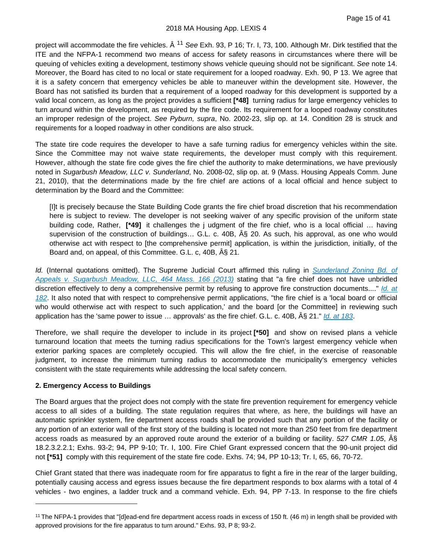#### 2018 MA Housing App. LEXIS 4

project will accommodate the fire vehicles. Â [11](#page-18-0) *See* Exh. 93, P 16; Tr. I, 73, 100. Although Mr. Dirk testified that the ITE and the NFPA-1 recommend two means of access for safety reasons in circumstances where there will be queuing of vehicles exiting a development, testimony shows vehicle queuing should not be significant. *See* note 14. Moreover, the Board has cited to no local or state requirement for a looped roadway. Exh. 90, P 13. We agree that it is a safety concern that emergency vehicles be able to maneuver within the development site. However, the Board has not satisfied its burden that a requirement of a looped roadway for this development is supported by a valid local concern, as long as the project provides a sufficient **[\*48]** turning radius for large emergency vehicles to turn around within the development, as required by the fire code. Its requirement for a looped roadway constitutes an improper redesign of the project. *See Pyburn, supra*, No. 2002-23, slip op. at 14. Condition 28 is struck and requirements for a looped roadway in other conditions are also struck.

The state tire code requires the developer to have a safe turning radius for emergency vehicles within the site. Since the Committee may not waive state requirements, the developer must comply with this requirement. However, although the state fire code gives the fire chief the authority to make determinations, we have previously noted in *Sugarbush Meadow, LLC v. Sunderland*, No. 2008-02, slip op. at. 9 (Mass. Housing Appeals Comm. June 21, 2010), that the determinations made by the fire chief are actions of a local official and hence subject to determination by the Board and the Committee:

[I]t is precisely because the State Building Code grants the fire chief broad discretion that his recommendation here is subject to review. The developer is not seeking waiver of any specific provision of the uniform state building code, Rather, **[\*49]** it challenges the j udgment of the fire chief, who is a local official … having supervision of the construction of buildings... G.L. c. 40B,  $\hat{A}$  20. As such, his approval, as one who would otherwise act with respect to [the comprehensive permit] application, is within the jurisdiction, initially, of the Board and, on appeal, of this Committee. G.L. c, 40B,  $\hat{A}\hat{S}$  21.

*Id.* (Internal quotations omitted). The Supreme Judicial Court affirmed this ruling in *[Sunderland Zoning Bd. of](https://plus.lexis.com/api/document?collection=cases&id=urn:contentItem:57H1-NDW1-F04G-P1WJ-00000-00&context=1530671)  [Appeals v. Sugarbush Meadow, LLC, 464 Mass. 166 \(2013\)](https://plus.lexis.com/api/document?collection=cases&id=urn:contentItem:57H1-NDW1-F04G-P1WJ-00000-00&context=1530671)* stating that "a fire chief does not have unbridled discretion effectively to deny a comprehensive permit by refusing to approve fire construction documents...." *[Id. at](https://plus.lexis.com/api/document?collection=cases&id=urn:contentItem:57H1-NDW1-F04G-P1WJ-00000-00&context=1530671)  [182](https://plus.lexis.com/api/document?collection=cases&id=urn:contentItem:57H1-NDW1-F04G-P1WJ-00000-00&context=1530671)*. It also noted that with respect to comprehensive permit applications, "the fire chief is a 'local board or official who would otherwise act with respect to such application,' and the board [or the Committee] in reviewing such application has the 'same power to issue ... approvals' as the fire chief. G.L. c. 40B,  $\hat{A}$  \$ 21." *[Id. at 183](https://plus.lexis.com/api/document?collection=cases&id=urn:contentItem:57H1-NDW1-F04G-P1WJ-00000-00&context=1530671)*.

Therefore, we shall require the developer to include in its project **[\*50]** and show on revised plans a vehicle turnaround location that meets the turning radius specifications for the Town's largest emergency vehicle when exterior parking spaces are completely occupied. This will allow the fire chief, in the exercise of reasonable judgment, to increase the minimum turning radius to accommodate the municipality's emergency vehicles consistent with the state requirements while addressing the local safety concern.

# **2. Emergency Access to Buildings**

The Board argues that the project does not comply with the state fire prevention requirement for emergency vehicle access to all sides of a building. The state regulation requires that where, as here, the buildings will have an automatic sprinkler system, fire department access roads shall be provided such that any portion of the facility or any portion of an exterior wall of the first story of the building is located not more than 250 feet from fire department access roads as measured by an approved route around the exterior of a building or facility. 527 CMR 1.05, AS 18.2.3.2.2.1; Exhs. 93-2; 94, PP 9-10; Tr. I, 100. Fire Chief Grant expressed concern that the 90-unit project did not **[\*51]** comply with this requirement of the state fire code. Exhs. 74; 94, PP 10-13; Tr. I, 65, 66, 70-72.

Chief Grant stated that there was inadequate room for fire apparatus to fight a fire in the rear of the larger building, potentially causing access and egress issues because the fire department responds to box alarms with a total of 4 vehicles - two engines, a ladder truck and a command vehicle. Exh. 94, PP 7-13. In response to the fire chiefs

<span id="page-18-0"></span><sup>&</sup>lt;sup>11</sup> The NFPA-1 provides that "[d]ead-end fire department access roads in excess of 150 ft. (46 m) in length shall be provided with approved provisions for the fire apparatus to turn around." Exhs. 93, P 8; 93-2.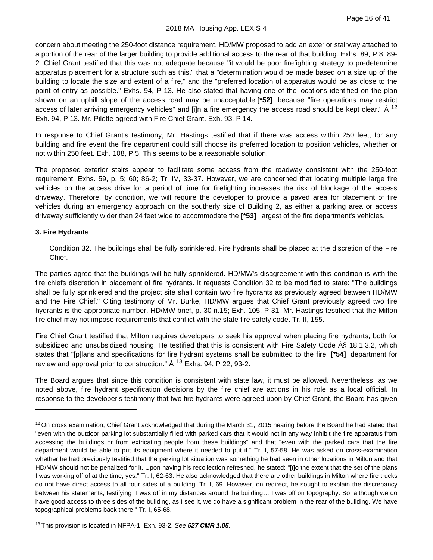#### 2018 MA Housing App. LEXIS 4

concern about meeting the 250-foot distance requirement, HD/MW proposed to add an exterior stairway attached to a portion of the rear of the larger building to provide additional access to the rear of that building. Exhs. 89, P 8; 89- 2. Chief Grant testified that this was not adequate because "it would be poor firefighting strategy to predetermine apparatus placement for a structure such as this," that a "determination would be made based on a size up of the building to locate the size and extent of a fire," and the "preferred location of apparatus would be as close to the point of entry as possible." Exhs. 94, P 13. He also stated that having one of the locations identified on the plan shown on an uphill slope of the access road may be unacceptable **[\*52]** because "fire operations may restrict access of later arriving emergency vehicles" and [i]n a fire emergency the access road should be kept clear." Â <sup>[12](#page-19-0)</sup> Exh. 94, P 13. Mr. Pilette agreed with Fire Chief Grant. Exh. 93, P 14.

In response to Chief Grant's testimony, Mr. Hastings testified that if there was access within 250 feet, for any building and fire event the fire department could still choose its preferred location to position vehicles, whether or not within 250 feet. Exh. 108, P 5. This seems to be a reasonable solution.

The proposed exterior stairs appear to facilitate some access from the roadway consistent with the 250-foot requirement. Exhs. 59, p. 5; 60; 86-2; Tr. IV, 33-37. However, we are concerned that locating multiple large fire vehicles on the access drive for a period of time for firefighting increases the risk of blockage of the access driveway. Therefore, by condition, we will require the developer to provide a paved area for placement of fire vehicles during an emergency approach on the southerly size of Building 2, as either a parking area or access driveway sufficiently wider than 24 feet wide to accommodate the **[\*53]** largest of the fire department's vehicles.

#### **3. Fire Hydrants**

Condition 32. The buildings shall be fully sprinklered. Fire hydrants shall be placed at the discretion of the Fire Chief.

The parties agree that the buildings will be fully sprinklered. HD/MW's disagreement with this condition is with the fire chiefs discretion in placement of fire hydrants. It requests Condition 32 to be modified to state: "The buildings shall be fully sprinklered and the project site shall contain two fire hydrants as previously agreed between HD/MW and the Fire Chief." Citing testimony of Mr. Burke, HD/MW argues that Chief Grant previously agreed two fire hydrants is the appropriate number. HD/MW brief, p. 30 n.15; Exh. 105, P 31. Mr. Hastings testified that the Milton fire chief may riot impose requirements that conflict with the state fire safety code. Tr. II, 155.

Fire Chief Grant testified that Milton requires developers to seek his approval when placing fire hydrants, both for subsidized and unsubsidized housing. He testified that this is consistent with Fire Safety Code  $\hat{A}\hat{S}$  18.1.3.2, which states that "[p]lans and specifications for fire hydrant systems shall be submitted to the fire **[\*54]** department for review and approval prior to construction."  $\hat{A}$  <sup>[13](#page-19-1)</sup> Exhs. 94, P 22; 93-2.

The Board argues that since this condition is consistent with state law, it must be allowed. Nevertheless, as we noted above, fire hydrant specification decisions by the fire chief are actions in his role as a local official. In response to the developer's testimony that two fire hydrants were agreed upon by Chief Grant, the Board has given

<span id="page-19-0"></span> $12$  On cross examination, Chief Grant acknowledged that during the March 31, 2015 hearing before the Board he had stated that "even with the outdoor parking lot substantially filled with parked cars that it would not in any way inhibit the fire apparatus from accessing the buildings or from extricating people from these buildings" and that "even with the parked cars that the fire department would be able to put its equipment where it needed to put it." Tr. I, 57-58. He was asked on cross-examination whether he had previously testified that the parking lot situation was something he had seen in other locations in Milton and that HD/MW should not be penalized for it. Upon having his recollection refreshed, he stated: "[t]o the extent that the set of the plans I was working off of at the time, yes." Tr. I, 62-63. He also acknowledged that there are other buildings in Milton where fire trucks do not have direct access to all four sides of a building. Tr. I, 69. However, on redirect, he sought to explain the discrepancy between his statements, testifying "I was off in my distances around the building… I was off on topography. So, although we do have good access to three sides of the building, as I see it, we do have a significant problem in the rear of the building. We have topographical problems back there." Tr. I, 65-68.

<span id="page-19-1"></span><sup>13</sup> This provision is located in NFPA-1. Exh. 93-2. *See 527 CMR 1.05*.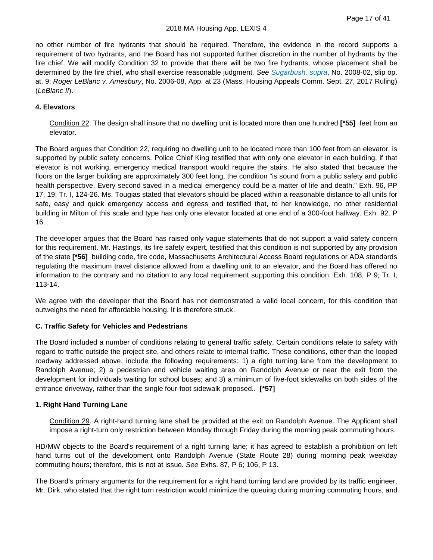no other number of fire hydrants that should be required. Therefore, the evidence in the record supports a requirement of two hydrants, and the Board has not supported further discretion in the number of hydrants by the fire chief. We will modify Condition 32 to provide that there will be two fire hydrants, whose placement shall be determined by the fire chief, who shall exercise reasonable judgment. *See [Sugarbush, supra](https://plus.lexis.com/api/document?collection=cases&id=urn:contentItem:57H1-NDW1-F04G-P1WJ-00000-00&context=1530671)*, No. 2008-02, slip op. at. 9; *Roger LeBlanc v. Amesbury*, No. 2006-08, App. at 23 (Mass. Housing Appeals Comm. Sept. 27, 2017 Ruling) (*LeBlanc II*).

#### **4. Elevators**

Condition 22. The design shall insure that no dwelling unit is located more than one hundred **[\*55]** feet from an elevator.

The Board argues that Condition 22, requiring no dwelling unit to be located more than 100 feet from an elevator, is supported by public safety concerns. Police Chief King testified that with only one elevator in each building, if that elevator is not working, emergency medical transport would require the stairs. He also stated that because the floors on the larger building are approximately 300 feet long, the condition "is sound from a public safety and public health perspective. Every second saved in a medical emergency could be a matter of life and death." Exh. 96, PP 17, 19; Tr. I, 124-26. Ms. Tougias stated that elevators should be placed within a reasonable distance to all units for safe, easy and quick emergency access and egress and testified that, to her knowledge, no other residential building in Milton of this scale and type has only one elevator located at one end of a 300-foot hallway. Exh. 92, P 16.

The developer argues that the Board has raised only vague statements that do not support a valid safety concern for this requirement. Mr. Hastings, its fire safety expert, testified that this condition is not supported by any provision of the state **[\*56]** building code, fire code, Massachusetts Architectural Access Board regulations or ADA standards regulating the maximum travel distance allowed from a dwelling unit to an elevator, and the Board has offered no information to the contrary and no citation to any local requirement supporting this condition. Exh. 108, P 9; Tr. I, 113-14.

We agree with the developer that the Board has not demonstrated a valid local concern, for this condition that outweighs the need for affordable housing. It is therefore struck.

#### **C. Traffic Safety for Vehicles and Pedestrians**

The Board included a number of conditions relating to general traffic safety. Certain conditions relate to safety with regard to traffic outside the project site, and others relate to internal traffic. These conditions, other than the looped roadway addressed above, include the following requirements: 1) a right turning lane from the development to Randolph Avenue; 2) a pedestrian and vehicle waiting area on Randolph Avenue or near the exit from the development for individuals waiting for school buses; and 3) a minimum of five-foot sidewalks on both sides of the entrance driveway, rather than the single four-foot sidewalk proposed.. **[\*57]**

#### **1. Right Hand Turning Lane**

Condition 29. A right-hand turning lane shall be provided at the exit on Randolph Avenue. The Applicant shall impose a right-turn only restriction between Monday through Friday during the morning peak commuting hours.

HD/MW objects to the Board's requirement of a right turning lane; it has agreed to establish a prohibition on left hand turns out of the development onto Randolph Avenue (State Route 28) during morning peak weekday commuting hours; therefore, this is not at issue. *See* Exhs. 87, P 6; 106, P 13.

The Board's primary arguments for the requirement for a right hand turning land are provided by its traffic engineer, Mr. Dirk, who stated that the right turn restriction would minimize the queuing during morning commuting hours, and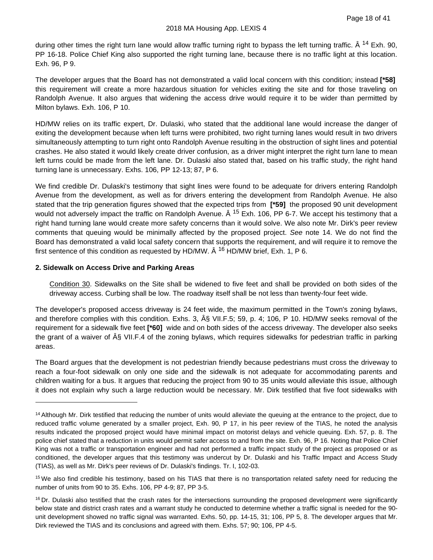during other times the right turn lane would allow traffic turning right to bypass the left turning traffic. Â <sup>[14](#page-21-0)</sup> Exh. 90, PP 16-18. Police Chief King also supported the right turning lane, because there is no traffic light at this location. Exh. 96, P 9.

The developer argues that the Board has not demonstrated a valid local concern with this condition; instead **[\*58]** this requirement will create a more hazardous situation for vehicles exiting the site and for those traveling on Randolph Avenue. It also argues that widening the access drive would require it to be wider than permitted by Milton bylaws. Exh. 106, P 10.

HD/MW relies on its traffic expert, Dr. Dulaski, who stated that the additional lane would increase the danger of exiting the development because when left turns were prohibited, two right turning lanes would result in two drivers simultaneously attempting to turn right onto Randolph Avenue resulting in the obstruction of sight lines and potential crashes. He also stated it would likely create driver confusion, as a driver might interpret the right turn lane to mean left turns could be made from the left lane. Dr. Dulaski also stated that, based on his traffic study, the right hand turning lane is unnecessary. Exhs. 106, PP 12-13; 87, P 6.

We find credible Dr. Dulaski's testimony that sight lines were found to be adequate for drivers entering Randolph Avenue from the development, as well as for drivers entering the development from Randolph Avenue. He also stated that the trip generation figures showed that the expected trips from **[\*59]** the proposed 90 unit development would not adversely impact the traffic on Randolph Avenue.  $\hat{A}$  <sup>[15](#page-21-1)</sup> Exh. 106, PP 6-7. We accept his testimony that a right hand turning lane would create more safety concerns than it would solve. We also note Mr. Dirk's peer review comments that queuing would be minimally affected by the proposed project. *See* note 14. We do not find the Board has demonstrated a valid local safety concern that supports the requirement, and will require it to remove the first sentence of this condition as requested by HD/MW.  $\hat{A}$  <sup>[16](#page-21-2)</sup> HD/MW brief, Exh. 1, P 6.

# **2. Sidewalk on Access Drive and Parking Areas**

Condition 30. Sidewalks on the Site shall be widened to five feet and shall be provided on both sides of the driveway access. Curbing shall be low. The roadway itself shall be not less than twenty-four feet wide.

The developer's proposed access driveway is 24 feet wide, the maximum permitted in the Town's zoning bylaws, and therefore complies with this condition. Exhs. 3,  $\hat{A}\hat{S}$  VII.F.5; 59, p. 4; 106, P 10. HD/MW seeks removal of the requirement for a sidewalk five feet **[\*60]** wide and on both sides of the access driveway. The developer also seeks the grant of a waiver of § VII.F.4 of the zoning bylaws, which requires sidewalks for pedestrian traffic in parking areas.

The Board argues that the development is not pedestrian friendly because pedestrians must cross the driveway to reach a four-foot sidewalk on only one side and the sidewalk is not adequate for accommodating parents and children waiting for a bus. It argues that reducing the project from 90 to 35 units would alleviate this issue, although it does not explain why such a large reduction would be necessary. Mr. Dirk testified that five foot sidewalks with

<span id="page-21-0"></span><sup>&</sup>lt;sup>14</sup> Although Mr. Dirk testified that reducing the number of units would alleviate the queuing at the entrance to the project, due to reduced traffic volume generated by a smaller project, Exh. 90, P 17, in his peer review of the TIAS, he noted the analysis results indicated the proposed project would have minimal impact on motorist delays and vehicle queuing. Exh. 57, p. 8. The police chief stated that a reduction in units would permit safer access to and from the site. Exh. 96, P 16. Noting that Police Chief King was not a traffic or transportation engineer and had not performed a traffic impact study of the project as proposed or as conditioned, the developer argues that this testimony was undercut by Dr. Dulaski and his Traffic Impact and Access Study (TIAS), as well as Mr. Dirk's peer reviews of Dr. Dulaski's findings. Tr. I, 102-03.

<span id="page-21-1"></span><sup>&</sup>lt;sup>15</sup> We also find credible his testimony, based on his TIAS that there is no transportation related safety need for reducing the number of units from 90 to 35. Exhs. 106, PP 4-9; 87, PP 3-5.

<span id="page-21-2"></span> $16$  Dr. Dulaski also testified that the crash rates for the intersections surrounding the proposed development were significantly below state and district crash rates and a warrant study he conducted to determine whether a traffic signal is needed for the 90 unit development showed no traffic signal was warranted. Exhs. 50, pp. 14-15, 31; 106, PP 5, 8. The developer argues that Mr. Dirk reviewed the TIAS and its conclusions and agreed with them. Exhs. 57; 90; 106, PP 4-5.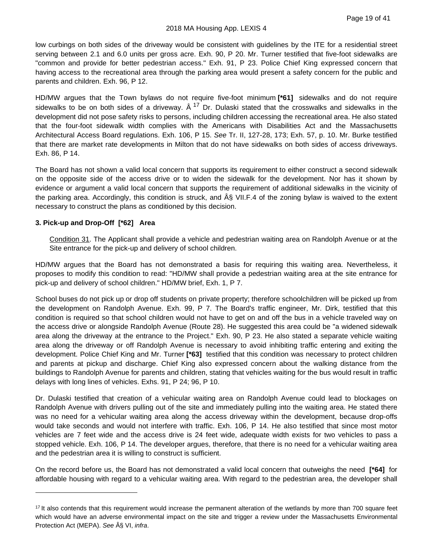#### 2018 MA Housing App. LEXIS 4

low curbings on both sides of the driveway would be consistent with guidelines by the ITE for a residential street serving between 2.1 and 6.0 units per gross acre. Exh. 90, P 20. Mr. Turner testified that five-foot sidewalks are "common and provide for better pedestrian access." Exh. 91, P 23. Police Chief King expressed concern that having access to the recreational area through the parking area would present a safety concern for the public and parents and children. Exh. 96, P 12.

HD/MW argues that the Town bylaws do not require five-foot minimum **[\*61]** sidewalks and do not require sidewalks to be on both sides of a driveway.  $\hat{A}^{17}$  $\hat{A}^{17}$  $\hat{A}^{17}$  Dr. Dulaski stated that the crosswalks and sidewalks in the development did not pose safety risks to persons, including children accessing the recreational area. He also stated that the four-foot sidewalk width complies with the Americans with Disabilities Act and the Massachusetts Architectural Access Board regulations. Exh. 106, P 15. *See* Tr. II, 127-28, 173; Exh. 57, p. 10. Mr. Burke testified that there are market rate developments in Milton that do not have sidewalks on both sides of access driveways. Exh. 86, P 14.

The Board has not shown a valid local concern that supports its requirement to either construct a second sidewalk on the opposite side of the access drive or to widen the sidewalk for the development. Nor has it shown by evidence or argument a valid local concern that supports the requirement of additional sidewalks in the vicinity of the parking area. Accordingly, this condition is struck, and  $\hat{A}\hat{S}$  VII.F.4 of the zoning bylaw is waived to the extent necessary to construct the plans as conditioned by this decision.

# **3. Pick-up and Drop-Off [\*62] Area**

Condition 31. The Applicant shall provide a vehicle and pedestrian waiting area on Randolph Avenue or at the Site entrance for the pick-up and delivery of school children.

HD/MW argues that the Board has not demonstrated a basis for requiring this waiting area. Nevertheless, it proposes to modify this condition to read: "HD/MW shall provide a pedestrian waiting area at the site entrance for pick-up and delivery of school children." HD/MW brief, Exh. 1, P 7.

School buses do not pick up or drop off students on private property; therefore schoolchildren will be picked up from the development on Randolph Avenue. Exh. 99, P 7. The Board's traffic engineer, Mr. Dirk, testified that this condition is required so that school children would not have to get on and off the bus in a vehicle traveled way on the access drive or alongside Randolph Avenue (Route 28). He suggested this area could be "a widened sidewalk area along the driveway at the entrance to the Project." Exh. 90, P 23. He also stated a separate vehicle waiting area along the driveway or off Randolph Avenue is necessary to avoid inhibiting traffic entering and exiting the development. Police Chief King and Mr. Turner **[\*63]** testified that this condition was necessary to protect children and parents at pickup and discharge. Chief King also expressed concern about the walking distance from the buildings to Randolph Avenue for parents and children, stating that vehicles waiting for the bus would result in traffic delays with long lines of vehicles. Exhs. 91, P 24; 96, P 10.

Dr. Dulaski testified that creation of a vehicular waiting area on Randolph Avenue could lead to blockages on Randolph Avenue with drivers pulling out of the site and immediately pulling into the waiting area. He stated there was no need for a vehicular waiting area along the access driveway within the development, because drop-offs would take seconds and would not interfere with traffic. Exh. 106, P 14. He also testified that since most motor vehicles are 7 feet wide and the access drive is 24 feet wide, adequate width exists for two vehicles to pass a stopped vehicle. Exh. 106, P 14. The developer argues, therefore, that there is no need for a vehicular waiting area and the pedestrian area it is willing to construct is sufficient.

On the record before us, the Board has not demonstrated a valid local concern that outweighs the need **[\*64]** for affordable housing with regard to a vehicular waiting area. With regard to the pedestrian area, the developer shall

<span id="page-22-0"></span><sup>&</sup>lt;sup>17</sup> It also contends that this requirement would increase the permanent alteration of the wetlands by more than 700 square feet which would have an adverse environmental impact on the site and trigger a review under the Massachusetts Environmental Protection Act (MEPA). *See* § VI, *infra*.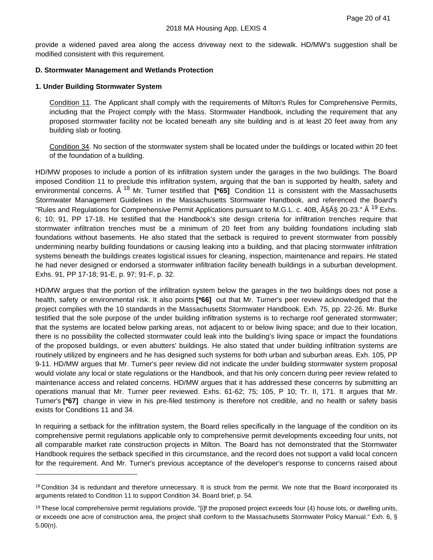provide a widened paved area along the access driveway next to the sidewalk. HD/MW's suggestion shall be modified consistent with this requirement.

#### **D. Stormwater Management and Wetlands Protection**

#### **1. Under Building Stormwater System**

Condition 11. The Applicant shall comply with the requirements of Milton's Rules for Comprehensive Permits, including that the Project comply with the Mass. Stormwater Handbook, including the requirement that any proposed stormwater facility not be located beneath any site building and is at least 20 feet away from any building slab or footing.

Condition 34. No section of the stormwater system shall be located under the buildings or located within 20 feet of the foundation of a building.

HD/MW proposes to include a portion of its infiltration system under the garages in the two buildings. The Board imposed Condition 11 to preclude this infiltration system, arguing that the ban is supported by health, safety and environmental concerns. Â [18](#page-23-0) Mr. Turner testified that **[\*65]** Condition 11 is consistent with the Massachusetts Stormwater Management Guidelines in the Massachusetts Stormwater Handbook, and referenced the Board's "Rules and Regulations for Comprehensive Permit Applications pursuant to M.G.L. c. 40B, §Â§ 20-23." <sup>[19](#page-23-1)</sup> Exhs. 6; 10; 91, PP 17-18. He testified that the Handbook's site design criteria for infiltration trenches require that stormwater infiltration trenches must be a minimum of 20 feet from any building foundations including slab foundations without basements. He also stated that the setback is required to prevent stormwater from possibly undermining nearby building foundations or causing leaking into a building, and that placing stormwater infiltration systems beneath the buildings creates logistical issues for cleaning, inspection, maintenance and repairs. He stated he had never designed or endorsed a stormwater infiltration facility beneath buildings in a suburban development. Exhs. 91, PP 17-18; 91-E, p. 97; 91-F, p. 32.

HD/MW argues that the portion of the infiltration system below the garages in the two buildings does not pose a health, safety or environmental risk. It also points **[\*66]** out that Mr. Turner's peer review acknowledged that the project complies with the 10 standards in the Massachusetts Stormwater Handbook. Exh. 75, pp. 22-26. Mr. Burke testified that the sole purpose of the under building infiltration systems is to recharge roof generated stormwater; that the systems are located below parking areas, not adjacent to or below living space; and due to their location, there is no possibility the collected stormwater could leak into the building's living space or impact the foundations of the proposed buildings, or even abutters' buildings. He also stated that under building infiltration systems are routinely utilized by engineers and he has designed such systems for both urban and suburban areas. Exh. 105, PP 9-11. HD/MW argues that Mr. Turner's peer review did not indicate the under building stormwater system proposal would violate any local or state regulations or the Handbook, and that his only concern during peer review related to maintenance access and related concerns. HD/MW argues that it has addressed these concerns by submitting an operations manual that Mr. Turner peer reviewed. Exhs. 61-62; 75; 105, P 10; Tr. II, 171. It argues that Mr. Turner's **[\*67]** change in view in his pre-filed testimony is therefore not credible, and no health or safety basis exists for Conditions 11 and 34.

In requiring a setback for the infiltration system, the Board relies specifically in the language of the condition on its comprehensive permit regulations applicable only to comprehensive permit developments exceeding four units, not all comparable market rate construction projects in Milton. The Board has not demonstrated that the Stormwater Handbook requires the setback specified in this circumstance, and the record does not support a valid local concern for the requirement. And Mr. Turner's previous acceptance of the developer's response to concerns raised about

<span id="page-23-0"></span><sup>&</sup>lt;sup>18</sup> Condition 34 is redundant and therefore unnecessary. It is struck from the permit. We note that the Board incorporated its arguments related to Condition 11 to support Condition 34. Board brief, p. 54.

<span id="page-23-1"></span> $19$  These local comprehensive permit regulations provide, "[i]f the proposed project exceeds four (4) house lots, or dwelling units, or exceeds one acre of construction area, the project shall conform to the Massachusetts Stormwater Policy Manual." Exh. 6, § 5.00(n).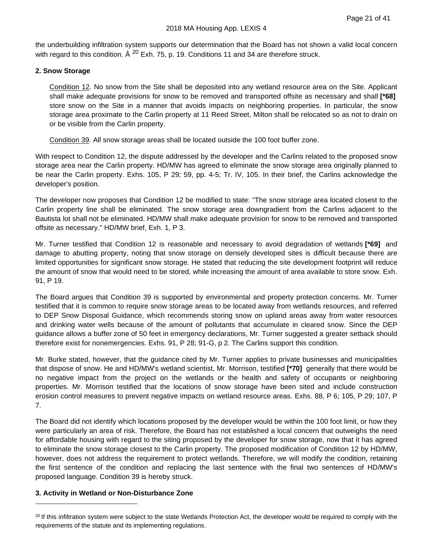the underbuilding infiltration system supports our determination that the Board has not shown a valid local concern with regard to this condition.  $\hat{A}^{20}$  $\hat{A}^{20}$  $\hat{A}^{20}$  Exh. 75, p. 19. Conditions 11 and 34 are therefore struck.

#### **2. Snow Storage**

Condition 12. No snow from the Site shall be deposited into any wetland resource area on the Site. Applicant shall make adequate provisions for snow to be removed and transported offsite as necessary and shall **[\*68]** store snow on the Site in a manner that avoids impacts on neighboring properties. In particular, the snow storage area proximate to the Carlin property at 11 Reed Street, Milton shall be relocated so as not to drain on or be visible from the Carlin property.

Condition 39. All snow storage areas shall be located outside the 100 foot buffer zone.

With respect to Condition 12, the dispute addressed by the developer and the Carlins related to the proposed snow storage area near the Carlin property. HD/MW has agreed to eliminate the snow storage area originally planned to be near the Carlin property. Exhs. 105, P 29; 59, pp. 4-5; Tr. IV, 105. In their brief, the Carlins acknowledge the developer's position.

The developer now proposes that Condition 12 be modified to state: "The snow storage area located closest to the Carlin property line shall be eliminated. The snow storage area downgradient from the Carlins adjacent to the Bautista lot shall not be eliminated. HD/MW shall make adequate provision for snow to be removed and transported offsite as necessary." HD/MW brief, Exh. 1, P 3.

Mr. Turner testified that Condition 12 is reasonable and necessary to avoid degradation of wetlands **[\*69]** and damage to abutting property, noting that snow storage on densely developed sites is difficult because there are limited opportunities for significant snow storage. He stated that reducing the site development footprint will reduce the amount of snow that would need to be stored, while increasing the amount of area available to store snow. Exh. 91, P 19.

The Board argues that Condition 39 is supported by environmental and property protection concerns. Mr. Turner testified that it is common to require snow storage areas to be located away from wetlands resources, and referred to DEP Snow Disposal Guidance, which recommends storing snow on upland areas away from water resources and drinking water wells because of the amount of pollutants that accumulate in cleared snow. Since the DEP guidance allows a buffer zone of 50 feet in emergency declarations, Mr. Turner suggested a greater setback should therefore exist for nonemergencies. Exhs. 91, P 28; 91-G, p 2. The Carlins support this condition.

Mr. Burke stated, however, that the guidance cited by Mr. Turner applies to private businesses and municipalities that dispose of snow. He and HD/MW's wetland scientist, Mr. Morrison, testified **[\*70]** generally that there would be no negative impact from the project on the wetlands or the health and safety of occupants or neighboring properties. Mr. Morrison testified that the locations of snow storage have been sited and include construction erosion control measures to prevent negative impacts on wetland resource areas. Exhs. 88, P 6; 105, P 29; 107, P 7.

The Board did not identify which locations proposed by the developer would be within the 100 foot limit, or how they were particularly an area of risk. Therefore, the Board has not established a local concern that outweighs the need for affordable housing with regard to the siting proposed by the developer for snow storage, now that it has agreed to eliminate the snow storage closest to the Carlin property. The proposed modification of Condition 12 by HD/MW, however, does not address the requirement to protect wetlands. Therefore, we will modify the condition, retaining the first sentence of the condition and replacing the last sentence with the final two sentences of HD/MW's proposed language. Condition 39 is hereby struck.

#### **3. Activity in Wetland or Non-Disturbance Zone**

<span id="page-24-0"></span><sup>&</sup>lt;sup>20</sup> If this infiltration system were subject to the state Wetlands Protection Act, the developer would be required to comply with the requirements of the statute and its implementing regulations.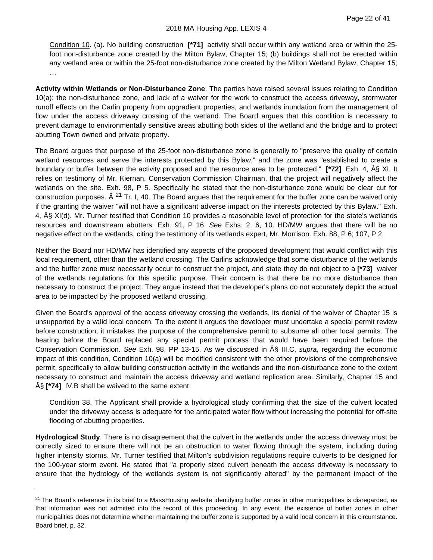Condition 10. (a). No building construction **[\*71]** activity shall occur within any wetland area or within the 25 foot non-disturbance zone created by the Milton Bylaw, Chapter 15; (b) buildings shall not be erected within any wetland area or within the 25-foot non-disturbance zone created by the Milton Wetland Bylaw, Chapter 15; …

**Activity within Wetlands or Non-Disturbance Zone**. The parties have raised several issues relating to Condition 10(a): the non-disturbance zone, and lack of a waiver for the work to construct the access driveway, stormwater runoff effects on the Carlin property from upgradient properties, and wetlands inundation from the management of flow under the access driveway crossing of the wetland. The Board argues that this condition is necessary to prevent damage to environmentally sensitive areas abutting both sides of the wetland and the bridge and to protect abutting Town owned and private property.

The Board argues that purpose of the 25-foot non-disturbance zone is generally to "preserve the quality of certain wetland resources and serve the interests protected by this Bylaw," and the zone was "established to create a boundary or buffer between the activity proposed and the resource area to be protected." **[\*72]** Exh. 4, § XI. It relies on testimony of Mr. Kiernan, Conservation Commission Chairman, that the project will negatively affect the wetlands on the site. Exh. 98, P 5. Specifically he stated that the non-disturbance zone would be clear cut for construction purposes.  $\hat{A}^{21}$  $\hat{A}^{21}$  $\hat{A}^{21}$  Tr. I, 40. The Board argues that the requirement for the buffer zone can be waived only if the granting the waiver "will not have a significant adverse impact on the interests protected by this Bylaw." Exh. 4, § XI(d). Mr. Turner testified that Condition 10 provides a reasonable level of protection for the state's wetlands resources and downstream abutters. Exh. 91, P 16. *See* Exhs. 2, 6, 10. HD/MW argues that there will be no negative effect on the wetlands, citing the testimony of its wetlands expert, Mr. Morrison. Exh. 88, P 6; 107, P 2.

Neither the Board nor HD/MW has identified any aspects of the proposed development that would conflict with this local requirement, other than the wetland crossing. The Carlins acknowledge that some disturbance of the wetlands and the buffer zone must necessarily occur to construct the project, and state they do not object to a **[\*73]** waiver of the wetlands regulations for this specific purpose. Their concern is that there be no more disturbance than necessary to construct the project. They argue instead that the developer's plans do not accurately depict the actual area to be impacted by the proposed wetland crossing.

Given the Board's approval of the access driveway crossing the wetlands, its denial of the waiver of Chapter 15 is unsupported by a valid local concern. To the extent it argues the developer must undertake a special permit review before construction, it mistakes the purpose of the comprehensive permit to subsume all other local permits. The hearing before the Board replaced any special permit process that would have been required before the Conservation Commission. *See* Exh. 98, PP 13-15. As we discussed in § III.C, *supra*, regarding the economic impact of this condition, Condition 10(a) will be modified consistent with the other provisions of the comprehensive permit, specifically to allow building construction activity in the wetlands and the non-disturbance zone to the extent necessary to construct and maintain the access driveway and wetland replication area. Similarly, Chapter 15 and § **[\*74]** IV.B shall be waived to the same extent.

Condition 38. The Applicant shall provide a hydrological study confirming that the size of the culvert located under the driveway access is adequate for the anticipated water flow without increasing the potential for off-site flooding of abutting properties.

**Hydrological Study**. There is no disagreement that the culvert in the wetlands under the access driveway must be correctly sized to ensure there will not be an obstruction to water flowing through the system, including during higher intensity storms. Mr. Turner testified that Milton's subdivision regulations require culverts to be designed for the 100-year storm event. He stated that "a properly sized culvert beneath the access driveway is necessary to ensure that the hydrology of the wetlands system is not significantly altered" by the permanent impact of the

<span id="page-25-0"></span> $21$  The Board's reference in its brief to a MassHousing website identifying buffer zones in other municipalities is disregarded, as that information was not admitted into the record of this proceeding. In any event, the existence of buffer zones in other municipalities does not determine whether maintaining the buffer zone is supported by a valid local concern in this circumstance. Board brief, p. 32.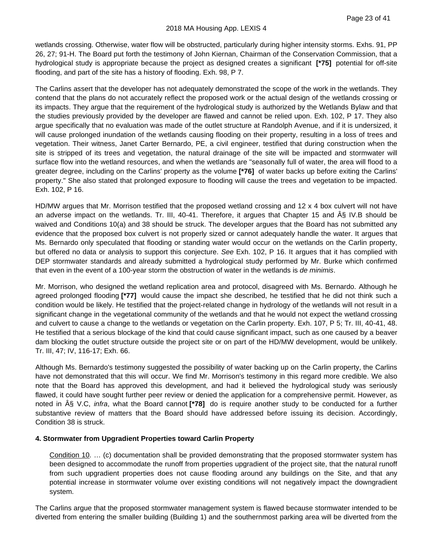wetlands crossing. Otherwise, water flow will be obstructed, particularly during higher intensity storms. Exhs. 91, PP 26, 27; 91-H. The Board put forth the testimony of John Kiernan, Chairman of the Conservation Commission, that a hydrological study is appropriate because the project as designed creates a significant **[\*75]** potential for off-site flooding, and part of the site has a history of flooding. Exh. 98, P 7.

The Carlins assert that the developer has not adequately demonstrated the scope of the work in the wetlands. They contend that the plans do not accurately reflect the proposed work or the actual design of the wetlands crossing or its impacts. They argue that the requirement of the hydrological study is authorized by the Wetlands Bylaw and that the studies previously provided by the developer are flawed and cannot be relied upon. Exh. 102, P 17. They also argue specifically that no evaluation was made of the outlet structure at Randolph Avenue, and if it is undersized, it will cause prolonged inundation of the wetlands causing flooding on their property, resulting in a loss of trees and vegetation. Their witness, Janet Carter Bernardo, PE, a civil engineer, testified that during construction when the site is stripped of its trees and vegetation, the natural drainage of the site will be impacted and stormwater will surface flow into the wetland resources, and when the wetlands are "seasonally full of water, the area will flood to a greater degree, including on the Carlins' property as the volume **[\*76]** of water backs up before exiting the Carlins' property." She also stated that prolonged exposure to flooding will cause the trees and vegetation to be impacted. Exh. 102, P 16.

HD/MW argues that Mr. Morrison testified that the proposed wetland crossing and 12 x 4 box culvert will not have an adverse impact on the wetlands. Tr. III, 40-41. Therefore, it argues that Chapter 15 and § IV.B should be waived and Conditions 10(a) and 38 should be struck. The developer argues that the Board has not submitted any evidence that the proposed box culvert is not properly sized or cannot adequately handle the water. It argues that Ms. Bernardo only speculated that flooding or standing water would occur on the wetlands on the Carlin property, but offered no data or analysis to support this conjecture. *See* Exh. 102, P 16. It argues that it has complied with DEP stormwater standards and already submitted a hydrological study performed by Mr. Burke which confirmed that even in the event of a 100-year storm the obstruction of water in the wetlands is *de minimis*.

Mr. Morrison, who designed the wetland replication area and protocol, disagreed with Ms. Bernardo. Although he agreed prolonged flooding **[\*77]** would cause the impact she described, he testified that he did not think such a condition would be likely. He testified that the project-related change in hydrology of the wetlands will not result in a significant change in the vegetational community of the wetlands and that he would not expect the wetland crossing and culvert to cause a change to the wetlands or vegetation on the Carlin property. Exh. 107, P 5; Tr. III, 40-41, 48. He testified that a serious blockage of the kind that could cause significant impact, such as one caused by a beaver dam blocking the outlet structure outside the project site or on part of the HD/MW development, would be unlikely. Tr. III, 47; IV, 116-17; Exh. 66.

Although Ms. Bernardo's testimony suggested the possibility of water backing up on the Carlin property, the Carlins have not demonstrated that this will occur. We find Mr. Morrison's testimony in this regard more credible. We also note that the Board has approved this development, and had it believed the hydrological study was seriously flawed, it could have sought further peer review or denied the application for a comprehensive permit. However, as noted in § V.C, *infra*, what the Board cannot **[\*78]** do is require another study to be conducted for a further substantive review of matters that the Board should have addressed before issuing its decision. Accordingly, Condition 38 is struck.

#### **4. Stormwater from Upgradient Properties toward Carlin Property**

Condition 10. … (c) documentation shall be provided demonstrating that the proposed stormwater system has been designed to accommodate the runoff from properties upgradient of the project site, that the natural runoff from such upgradient properties does not cause flooding around any buildings on the Site, and that any potential increase in stormwater volume over existing conditions will not negatively impact the downgradient system.

The Carlins argue that the proposed stormwater management system is flawed because stormwater intended to be diverted from entering the smaller building (Building 1) and the southernmost parking area will be diverted from the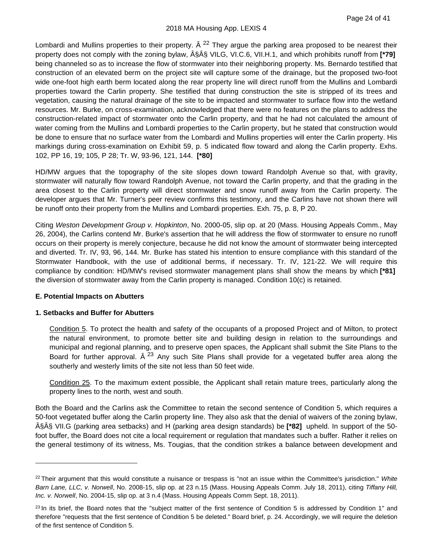Lombardi and Mullins properties to their property.  $\hat{A}^{22}$  $\hat{A}^{22}$  $\hat{A}^{22}$  They argue the parking area proposed to be nearest their property does not comply with the zoning bylaw,  $\hat{A}\hat{S}\hat{A}\hat{S}$  VILG, VI.C.6, VII.H.1, and which prohibits runoff from [\*79] being channeled so as to increase the flow of stormwater into their neighboring property. Ms. Bernardo testified that construction of an elevated berm on the project site will capture some of the drainage, but the proposed two-foot wide one-foot high earth berm located along the rear property line will direct runoff from the Mullins and Lombardi properties toward the Carlin property. She testified that during construction the site is stripped of its trees and vegetation, causing the natural drainage of the site to be impacted and stormwater to surface flow into the wetland resources. Mr. Burke, on cross-examination, acknowledged that there were no features on the plans to address the construction-related impact of stormwater onto the Carlin property, and that he had not calculated the amount of water coming from the Mullins and Lombardi properties to the Carlin property, but he stated that construction would be done to ensure that no surface water from the Lombardi and Mullins properties will enter the Carlin property. His markings during cross-examination on Exhibit 59, p. 5 indicated flow toward and along the Carlin property. Exhs. 102, PP 16, 19; 105, P 28; Tr. W, 93-96, 121, 144. **[\*80]**

HD/MW argues that the topography of the site slopes down toward Randolph Avenue so that, with gravity, stormwater will naturally flow toward Randolph Avenue, not toward the Carlin property, and that the grading in the area closest to the Carlin property will direct stormwater and snow runoff away from the Carlin property. The developer argues that Mr. Turner's peer review confirms this testimony, and the Carlins have not shown there will be runoff onto their property from the Mullins and Lombardi properties. Exh. 75, p. 8, P 20.

Citing *Weston Development Group v. Hopkinton*, No. 2000-05, slip op. at 20 (Mass. Housing Appeals Comm., May 26, 2004), the Carlins contend Mr. Burke's assertion that he will address the flow of stormwater to ensure no runoff occurs on their property is merely conjecture, because he did not know the amount of stormwater being intercepted and diverted. Tr. IV, 93, 96, 144. Mr. Burke has stated his intention to ensure compliance with this standard of the Stormwater Handbook, with the use of additional berms, if necessary. Tr. IV, 121-22. We will require this compliance by condition: HD/MW's revised stormwater management plans shall show the means by which **[\*81]** the diversion of stormwater away from the Carlin property is managed. Condition 10(c) is retained.

# **E. Potential Impacts on Abutters**

#### **1. Setbacks and Buffer for Abutters**

Condition 5. To protect the health and safety of the occupants of a proposed Project and of Milton, to protect the natural environment, to promote better site and building design in relation to the surroundings and municipal and regional planning, and to preserve open spaces, the Applicant shall submit the Site Plans to the Board for further approval.  $\hat{A}^{23}$  $\hat{A}^{23}$  $\hat{A}^{23}$  Any such Site Plans shall provide for a vegetated buffer area along the southerly and westerly limits of the site not less than 50 feet wide.

Condition 25. To the maximum extent possible, the Applicant shall retain mature trees, particularly along the property lines to the north, west and south.

Both the Board and the Carlins ask the Committee to retain the second sentence of Condition 5, which requires a 50-foot vegetated buffer along the Carlin property line. They also ask that the denial of waivers of the zoning bylaw, §§ VII.G (parking area setbacks) and H (parking area design standards) be **[\*82]** upheld. In support of the 50 foot buffer, the Board does not cite a local requirement or regulation that mandates such a buffer. Rather it relies on the general testimony of its witness, Ms. Tougias, that the condition strikes a balance between development and

<span id="page-27-0"></span><sup>22</sup> Their argument that this would constitute a nuisance or trespass is "not an issue within the Committee's jurisdiction." *White Barn Lane, LLC, v. Norwell*, No. 2008-15, slip op. at 23 n.15 (Mass. Housing Appeals Comm. July 18, 2011), citing *Tiffany Hill, Inc. v. Norwell*, No. 2004-15, slip op. at 3 n.4 (Mass. Housing Appeals Comm Sept. 18, 2011).

<span id="page-27-1"></span> $^{23}$  In its brief, the Board notes that the "subject matter of the first sentence of Condition 5 is addressed by Condition 1" and therefore "requests that the first sentence of Condition 5 be deleted." Board brief, p. 24. Accordingly, we will require the deletion of the first sentence of Condition 5.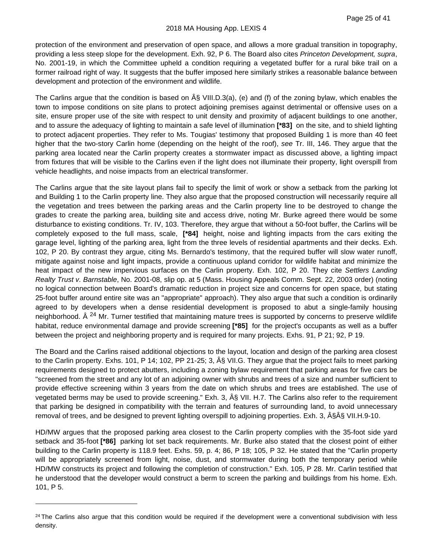protection of the environment and preservation of open space, and allows a more gradual transition in topography, providing a less steep slope for the development. Exh. 92, P 6. The Board also cites *Princeton Development, supra*, No. 2001-19, in which the Committee upheld a condition requiring a vegetated buffer for a rural bike trail on a former railroad right of way. It suggests that the buffer imposed here similarly strikes a reasonable balance between development and protection of the environment and wildlife.

The Carlins argue that the condition is based on  $\hat{A}\hat{S}$  VIII.D.3(a), (e) and (f) of the zoning bylaw, which enables the town to impose conditions on site plans to protect adjoining premises against detrimental or offensive uses on a site, ensure proper use of the site with respect to unit density and proximity of adjacent buildings to one another, and to assure the adequacy of lighting to maintain a safe level of illumination **[\*83]** on the site, and to shield lighting to protect adjacent properties. They refer to Ms. Tougias' testimony that proposed Building 1 is more than 40 feet higher that the two-story Carlin home (depending on the height of the roof), *see* Tr. III, 146. They argue that the parking area located near the Carlin property creates a stormwater impact as discussed above, a lighting impact from fixtures that will be visible to the Carlins even if the light does not illuminate their property, light overspill from vehicle headlights, and noise impacts from an electrical transformer.

The Carlins argue that the site layout plans fail to specify the limit of work or show a setback from the parking lot and Building 1 to the Carlin property line. They also argue that the proposed construction will necessarily require all the vegetation and trees between the parking areas and the Carlin property line to be destroyed to change the grades to create the parking area, building site and access drive, noting Mr. Burke agreed there would be some disturbance to existing conditions. Tr. IV, 103. Therefore, they argue that without a 50-foot buffer, the Carlins will be completely exposed to the full mass, scale, **[\*84]** height, noise and lighting impacts from the cars exiting the garage level, lighting of the parking area, light from the three levels of residential apartments and their decks. Exh. 102, P 20. By contrast they argue, citing Ms. Bernardo's testimony, that the required buffer will slow water runoff, mitigate against noise and light impacts, provide a continuous upland corridor for wildlife habitat and minimize the heat impact of the new impervious surfaces on the Carlin property. Exh. 102, P 20. They cite *Settlers Landing Realty Trust v. Barnstable*, No. 2001-08, slip op. at 5 (Mass. Housing Appeals Comm. Sept. 22, 2003 order) (noting no logical connection between Board's dramatic reduction in project size and concerns for open space, but stating 25-foot buffer around entire site was an "appropriate" approach). They also argue that such a condition is ordinarily agreed to by developers when a dense residential development is proposed to abut a single-family housing neighborhood. Â<sup>[24](#page-28-0)</sup> Mr. Turner testified that maintaining mature trees is supported by concerns to preserve wildlife habitat, reduce environmental damage and provide screening **[\*85]** for the project's occupants as well as a buffer between the project and neighboring property and is required for many projects. Exhs. 91, P 21; 92, P 19.

The Board and the Carlins raised additional objections to the layout, location and design of the parking area closest to the Carlin property. Exhs. 101, P 14; 102, PP 21-25; 3, § VII.G. They argue that the project fails to meet parking requirements designed to protect abutters, including a zoning bylaw requirement that parking areas for five cars be "screened from the street and any lot of an adjoining owner with shrubs and trees of a size and number sufficient to provide effective screening within 3 years from the date on which shrubs and trees are established. The use of vegetated berms may be used to provide screening." Exh. 3,  $\hat{A}\hat{S}$  VII. H.7. The Carlins also refer to the requirement that parking be designed in compatibility with the terrain and features of surrounding land, to avoid unnecessary removal of trees, and be designed to prevent lighting overspill to adjoining properties. Exh. 3, §Â§ VII.H.9-10.

HD/MW argues that the proposed parking area closest to the Carlin property complies with the 35-foot side yard setback and 35-foot **[\*86]** parking lot set back requirements. Mr. Burke also stated that the closest point of either building to the Carlin property is 118.9 feet. Exhs. 59, p. 4; 86, P 18; 105, P 32. He stated that the "Carlin property will be appropriately screened from light, noise, dust, and stormwater during both the temporary period while HD/MW constructs its project and following the completion of construction." Exh. 105, P 28. Mr. Carlin testified that he understood that the developer would construct a berm to screen the parking and buildings from his home. Exh. 101, P 5.

<span id="page-28-0"></span> $24$  The Carlins also argue that this condition would be required if the development were a conventional subdivision with less density.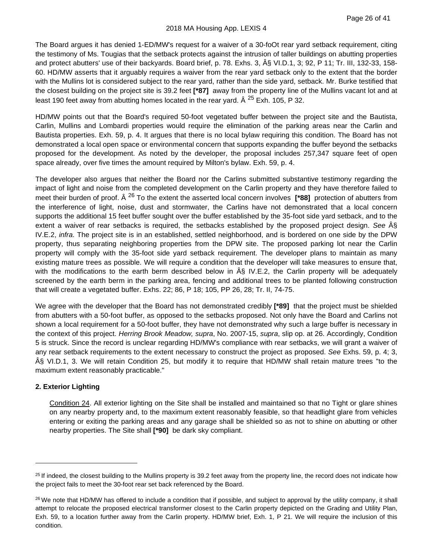The Board argues it has denied 1-ED/MW's request for a waiver of a 30-foOt rear yard setback requirement, citing the testimony of Ms. Tougias that the setback protects against the intrusion of taller buildings on abutting properties and protect abutters' use of their backyards. Board brief, p. 78. Exhs. 3, § VI.D.1, 3; 92, P 11; Tr. III, 132-33, 158-60. HD/MW asserts that it arguably requires a waiver from the rear yard setback only to the extent that the border with the Mullins lot is considered subject to the rear yard, rather than the side yard, setback. Mr. Burke testified that the closest building on the project site is 39.2 feet **[\*87]** away from the property line of the Mullins vacant lot and at least 190 feet away from abutting homes located in the rear yard.  $\hat{A}^{25}$  $\hat{A}^{25}$  $\hat{A}^{25}$  Exh. 105, P 32.

HD/MW points out that the Board's required 50-foot vegetated buffer between the project site and the Bautista, Carlin, Mullins and Lombardi properties would require the elimination of the parking areas near the Carlin and Bautista properties. Exh. 59, p. 4. It argues that there is no local bylaw requiring this condition. The Board has not demonstrated a local open space or environmental concern that supports expanding the buffer beyond the setbacks proposed for the development. As noted by the developer, the proposal includes 257,347 square feet of open space already, over five times the amount required by Milton's bylaw. Exh. 59, p. 4.

The developer also argues that neither the Board nor the Carlins submitted substantive testimony regarding the impact of light and noise from the completed development on the Carlin property and they have therefore failed to meet their burden of proof. Â [26](#page-29-1) To the extent the asserted local concern involves **[\*88]** protection of abutters from the interference of light, noise, dust and stormwater, the Carlins have not demonstrated that a local concern supports the additional 15 feet buffer sought over the buffer established by the 35-foot side yard setback, and to the extent a waiver of rear setbacks is required, the setbacks established by the proposed project design. See A§ IV.E.2, *infra*. The project site is in an established, settled neighborhood, and is bordered on one side by the DPW property, thus separating neighboring properties from the DPW site. The proposed parking lot near the Carlin property will comply with the 35-foot side yard setback requirement. The developer plans to maintain as many existing mature trees as possible. We will require a condition that the developer will take measures to ensure that, with the modifications to the earth berm described below in  $\hat{A}$  IV.E.2, the Carlin property will be adequately screened by the earth berm in the parking area, fencing and additional trees to be planted following construction that will create a vegetated buffer. Exhs. 22; 86, P 18; 105, PP 26, 28; Tr. II, 74-75.

We agree with the developer that the Board has not demonstrated credibly **[\*89]** that the project must be shielded from abutters with a 50-foot buffer, as opposed to the setbacks proposed. Not only have the Board and Carlins not shown a local requirement for a 50-foot buffer, they have not demonstrated why such a large buffer is necessary in the context of this project. *Herring Brook Meadow, supra*, No. 2007-15, *supra*, slip op. at 26. Accordingly, Condition 5 is struck. Since the record is unclear regarding HD/MW's compliance with rear setbacks, we will grant a waiver of any rear setback requirements to the extent necessary to construct the project as proposed. *See* Exhs. 59, p. 4; 3, § VI.D.1, 3. We will retain Condition 25, but modify it to require that HD/MW shall retain mature trees "to the maximum extent reasonably practicable."

# **2. Exterior Lighting**

Condition 24. All exterior lighting on the Site shall be installed and maintained so that no Tight or glare shines on any nearby property and, to the maximum extent reasonably feasible, so that headlight glare from vehicles entering or exiting the parking areas and any garage shall be shielded so as not to shine on abutting or other nearby properties. The Site shall **[\*90]** be dark sky compliant.

<span id="page-29-0"></span> $25$  If indeed, the closest building to the Mullins property is 39.2 feet away from the property line, the record does not indicate how the project fails to meet the 30-foot rear set back referenced by the Board.

<span id="page-29-1"></span> $26$  We note that HD/MW has offered to include a condition that if possible, and subject to approval by the utility company, it shall attempt to relocate the proposed electrical transformer closest to the Carlin property depicted on the Grading and Utility Plan, Exh. 59, to a location further away from the Carlin property. HD/MW brief, Exh. 1, P 21. We will require the inclusion of this condition.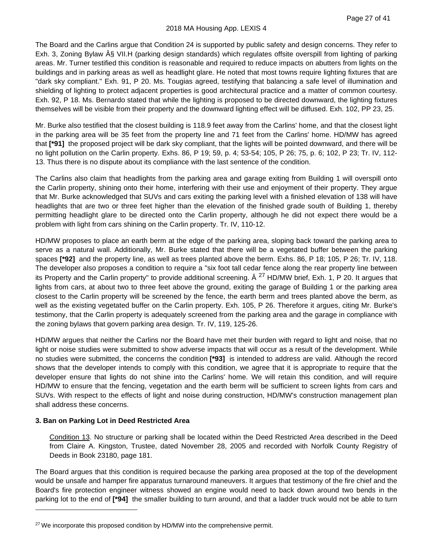The Board and the Carlins argue that Condition 24 is supported by public safety and design concerns. They refer to Exh. 3, Zoning Bylaw  $\hat{A}$ § VII.H (parking design standards) which regulates offsite overspill from lighting of parking areas. Mr. Turner testified this condition is reasonable and required to reduce impacts on abutters from lights on the buildings and in parking areas as well as headlight glare. He noted that most towns require lighting fixtures that are "dark sky compliant." Exh. 91, P 20. Ms. Tougias agreed, testifying that balancing a safe level of illumination and shielding of lighting to protect adjacent properties is good architectural practice and a matter of common courtesy. Exh. 92, P 18. Ms. Bernardo stated that while the lighting is proposed to be directed downward, the lighting fixtures themselves will be visible from their property and the downward lighting effect will be diffused. Exh. 102, PP 23, 25.

Mr. Burke also testified that the closest building is 118.9 feet away from the Carlins' home, and that the closest light in the parking area will be 35 feet from the property line and 71 feet from the Carlins' home. HD/MW has agreed that **[\*91]** the proposed project will be dark sky compliant, that the lights will be pointed downward, and there will be no light pollution on the Carlin property. Exhs. 86, P 19; 59, p. 4; 53-54; 105, P 26; 75, p. 6; 102, P 23; Tr. IV, 112- 13. Thus there is no dispute about its compliance with the last sentence of the condition.

The Carlins also claim that headlights from the parking area and garage exiting from Building 1 will overspill onto the Carlin property, shining onto their home, interfering with their use and enjoyment of their property. They argue that Mr. Burke acknowledged that SUVs and cars exiting the parking level with a finished elevation of 138 will have headlights that are two or three feet higher than the elevation of the finished grade south of Building 1, thereby permitting headlight glare to be directed onto the Carlin property, although he did not expect there would be a problem with light from cars shining on the Carlin property. Tr. IV, 110-12.

HD/MW proposes to place an earth berm at the edge of the parking area, sloping back toward the parking area to serve as a natural wall. Additionally, Mr. Burke stated that there will be a vegetated buffer between the parking spaces **[\*92]** and the property line, as well as trees planted above the berm. Exhs. 86, P 18; 105, P 26; Tr. IV, 118. The developer also proposes a condition to require a "six foot tall cedar fence along the rear property line between its Property and the Carlin property" to provide additional screening.  $\hat{A}^{27}$  $\hat{A}^{27}$  $\hat{A}^{27}$  HD/MW brief, Exh. 1, P 20. It argues that lights from cars, at about two to three feet above the ground, exiting the garage of Building 1 or the parking area closest to the Carlin property will be screened by the fence, the earth berm and trees planted above the berm, as well as the existing vegetated buffer on the Carlin property. Exh. 105, P 26. Therefore it argues, citing Mr. Burke's testimony, that the Carlin property is adequately screened from the parking area and the garage in compliance with the zoning bylaws that govern parking area design. Tr. IV, 119, 125-26.

HD/MW argues that neither the Carlins nor the Board have met their burden with regard to light and noise, that no light or noise studies were submitted to show adverse impacts that will occur as a result of the development. While no studies were submitted, the concerns the condition **[\*93]** is intended to address are valid. Although the record shows that the developer intends to comply with this condition, we agree that it is appropriate to require that the developer ensure that lights do not shine into the Carlins' home. We will retain this condition, and will require HD/MW to ensure that the fencing, vegetation and the earth berm will be sufficient to screen lights from cars and SUVs. With respect to the effects of light and noise during construction, HD/MW's construction management plan shall address these concerns.

# **3. Ban on Parking Lot in Deed Restricted Area**

Condition 13. No structure or parking shall be located within the Deed Restricted Area described in the Deed from Claire A. Kingston, Trustee, dated November 28, 2005 and recorded with Norfolk County Registry of Deeds in Book 23180, page 181.

The Board argues that this condition is required because the parking area proposed at the top of the development would be unsafe and hamper fire apparatus turnaround maneuvers. It argues that testimony of the fire chief and the Board's fire protection engineer witness showed an engine would need to back down around two bends in the parking lot to the end of **[\*94]** the smaller building to turn around, and that a ladder truck would not be able to turn

<span id="page-30-0"></span><sup>&</sup>lt;sup>27</sup> We incorporate this proposed condition by HD/MW into the comprehensive permit.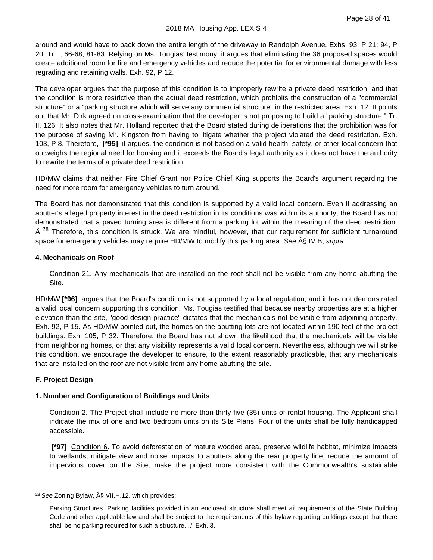around and would have to back down the entire length of the driveway to Randolph Avenue. Exhs. 93, P 21; 94, P 20; Tr. I, 66-68, 81-83. Relying on Ms. Tougias' testimony, it argues that eliminating the 36 proposed spaces would create additional room for fire and emergency vehicles and reduce the potential for environmental damage with less regrading and retaining walls. Exh. 92, P 12.

The developer argues that the purpose of this condition is to improperly rewrite a private deed restriction, and that the condition is more restrictive than the actual deed restriction, which prohibits the construction of a "commercial structure" or a "parking structure which will serve any commercial structure" in the restricted area. Exh. 12. It points out that Mr. Dirk agreed on cross-examination that the developer is not proposing to build a "parking structure." Tr. II, 126. It also notes that Mr. Holland reported that the Board stated during deliberations that the prohibition was for the purpose of saving Mr. Kingston from having to litigate whether the project violated the deed restriction. Exh. 103, P 8. Therefore, **[\*95]** it argues, the condition is not based on a valid health, safety, or other local concern that outweighs the regional need for housing and it exceeds the Board's legal authority as it does not have the authority to rewrite the terms of a private deed restriction.

HD/MW claims that neither Fire Chief Grant nor Police Chief King supports the Board's argument regarding the need for more room for emergency vehicles to turn around.

The Board has not demonstrated that this condition is supported by a valid local concern. Even if addressing an abutter's alleged property interest in the deed restriction in its conditions was within its authority, the Board has not demonstrated that a paved turning area is different from a parking lot within the meaning of the deed restriction.  $\hat{A}^{28}$  $\hat{A}^{28}$  $\hat{A}^{28}$  Therefore, this condition is struck. We are mindful, however, that our requirement for sufficient turnaround space for emergency vehicles may require HD/MW to modify this parking area. See § IV.B, *supra*.

#### **4. Mechanicals on Roof**

Condition 21. Any mechanicals that are installed on the roof shall not be visible from any home abutting the Site.

HD/MW **[\*96]** argues that the Board's condition is not supported by a local regulation, and it has not demonstrated a valid local concern supporting this condition. Ms. Tougias testified that because nearby properties are at a higher elevation than the site, "good design practice" dictates that the mechanicals not be visible from adjoining property. Exh. 92, P 15. As HD/MW pointed out, the homes on the abutting lots are not located within 190 feet of the project buildings. Exh. 105, P 32. Therefore, the Board has not shown the likelihood that the mechanicals will be visible from neighboring homes, or that any visibility represents a valid local concern. Nevertheless, although we will strike this condition, we encourage the developer to ensure, to the extent reasonably practicable, that any mechanicals that are installed on the roof are not visible from any home abutting the site.

#### **F. Project Design**

#### **1. Number and Configuration of Buildings and Units**

Condition 2. The Project shall include no more than thirty five (35) units of rental housing. The Applicant shall indicate the mix of one and two bedroom units on its Site Plans. Four of the units shall be fully handicapped accessible.

**[\*97]** Condition 6. To avoid deforestation of mature wooded area, preserve wildlife habitat, minimize impacts to wetlands, mitigate view and noise impacts to abutters along the rear property line, reduce the amount of impervious cover on the Site, make the project more consistent with the Commonwealth's sustainable

<span id="page-31-0"></span><sup>&</sup>lt;sup>28</sup> See Zoning Bylaw, § VII.H.12. which provides:

Parking Structures. Parking facilities provided in an enclosed structure shall meet ail requirements of the State Building Code and other applicable law and shall be subject to the requirements of this bylaw regarding buildings except that there shall be no parking required for such a structure...." Exh. 3.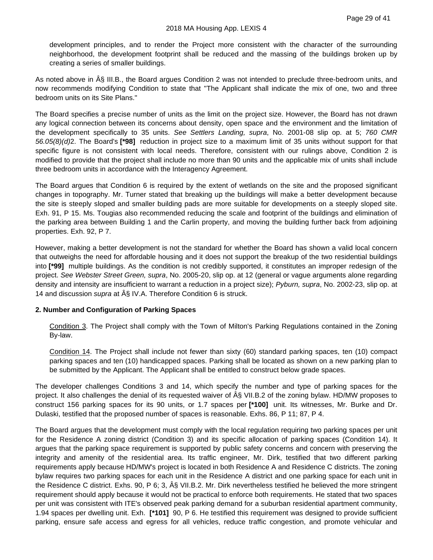development principles, and to render the Project more consistent with the character of the surrounding neighborhood, the development footprint shall be reduced and the massing of the buildings broken up by creating a series of smaller buildings.

As noted above in § III.B., the Board argues Condition 2 was not intended to preclude three-bedroom units, and now recommends modifying Condition to state that "The Applicant shall indicate the mix of one, two and three bedroom units on its Site Plans."

The Board specifies a precise number of units as the limit on the project size. However, the Board has not drawn any logical connection between its concerns about density, open space and the environment and the limitation of the development specifically to 35 units. *See Settlers Landing, supra*, No. 2001-08 slip op. at 5; *760 CMR 56.05(8)(d)*2. The Board's **[\*98]** reduction in project size to a maximum limit of 35 units without support for that specific figure is not consistent with local needs. Therefore, consistent with our rulings above, Condition 2 is modified to provide that the project shall include no more than 90 units and the applicable mix of units shall include three bedroom units in accordance with the Interagency Agreement.

The Board argues that Condition 6 is required by the extent of wetlands on the site and the proposed significant changes in topography. Mr. Turner stated that breaking up the buildings will make a better development because the site is steeply sloped and smaller building pads are more suitable for developments on a steeply sloped site. Exh. 91, P 15. Ms. Tougias also recommended reducing the scale and footprint of the buildings and elimination of the parking area between Building 1 and the Carlin property, and moving the building further back from adjoining properties. Exh. 92, P 7.

However, making a better development is not the standard for whether the Board has shown a valid local concern that outweighs the need for affordable housing and it does not support the breakup of the two residential buildings into **[\*99]** multiple buildings. As the condition is not credibly supported, it constitutes an improper redesign of the project. *See Webster Street Green, supra*, No. 2005-20, slip op. at 12 (general or vague arguments alone regarding density and intensity are insufficient to warrant a reduction in a project size); *Pyburn, supra*, No. 2002-23, slip op. at 14 and discussion *supra* at  $\hat{A}\hat{S}$  IV.A. Therefore Condition 6 is struck.

# **2. Number and Configuration of Parking Spaces**

Condition 3. The Project shall comply with the Town of Milton's Parking Regulations contained in the Zoning By-law.

Condition 14. The Project shall include not fewer than sixty (60) standard parking spaces, ten (10) compact parking spaces and ten (10) handicapped spaces. Parking shall be located as shown on a new parking plan to be submitted by the Applicant. The Applicant shall be entitled to construct below grade spaces.

The developer challenges Conditions 3 and 14, which specify the number and type of parking spaces for the project. It also challenges the denial of its requested waiver of § VII.B.2 of the zoning bylaw. HD/MW proposes to construct 156 parking spaces for its 90 units, or 1.7 spaces per **[\*100]** unit. Its witnesses, Mr. Burke and Dr. Dulaski, testified that the proposed number of spaces is reasonable. Exhs. 86, P 11; 87, P 4.

The Board argues that the development must comply with the local regulation requiring two parking spaces per unit for the Residence A zoning district (Condition 3) and its specific allocation of parking spaces (Condition 14). It argues that the parking space requirement is supported by public safety concerns and concern with preserving the integrity and amenity of the residential area. Its traffic engineer, Mr. Dirk, testified that two different parking requirements apply because HD/MW's project is located in both Residence A and Residence C districts. The zoning bylaw requires two parking spaces for each unit in the Residence A district and one parking space for each unit in the Residence C district. Exhs. 90, P 6; 3, § VII.B.2. Mr. Dirk nevertheless testified he believed the more stringent requirement should apply because it would not be practical to enforce both requirements. He stated that two spaces per unit was consistent with ITE's observed peak parking demand for a suburban residential apartment community, 1.94 spaces per dwelling unit. Exh. **[\*101]** 90, P 6. He testified this requirement was designed to provide sufficient parking, ensure safe access and egress for all vehicles, reduce traffic congestion, and promote vehicular and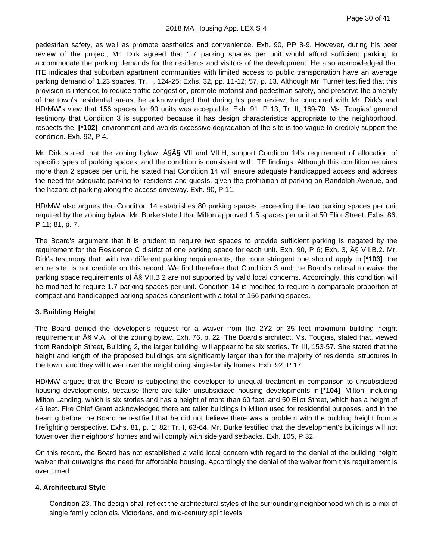#### 2018 MA Housing App. LEXIS 4

pedestrian safety, as well as promote aesthetics and convenience. Exh. 90, PP 8-9. However, during his peer review of the project, Mr. Dirk agreed that 1.7 parking spaces per unit would afford sufficient parking to accommodate the parking demands for the residents and visitors of the development. He also acknowledged that ITE indicates that suburban apartment communities with limited access to public transportation have an average parking demand of 1.23 spaces. Tr. II, 124-25; Exhs. 32, pp. 11-12; 57, p. 13. Although Mr. Turner testified that this provision is intended to reduce traffic congestion, promote motorist and pedestrian safety, and preserve the amenity of the town's residential areas, he acknowledged that during his peer review, he concurred with Mr. Dirk's and HD/MW's view that 156 spaces for 90 units was acceptable. Exh. 91, P 13; Tr. II, 169-70. Ms. Tougias' general testimony that Condition 3 is supported because it has design characteristics appropriate to the neighborhood, respects the **[\*102]** environment and avoids excessive degradation of the site is too vague to credibly support the condition. Exh. 92, P 4.

Mr. Dirk stated that the zoning bylaw,  $\hat{A}\hat{S}\hat{A}\hat{S}$  VII and VII.H, support Condition 14's requirement of allocation of specific types of parking spaces, and the condition is consistent with ITE findings. Although this condition requires more than 2 spaces per unit, he stated that Condition 14 will ensure adequate handicapped access and address the need for adequate parking for residents and guests, given the prohibition of parking on Randolph Avenue, and the hazard of parking along the access driveway. Exh. 90, P 11.

HD/MW also argues that Condition 14 establishes 80 parking spaces, exceeding the two parking spaces per unit required by the zoning bylaw. Mr. Burke stated that Milton approved 1.5 spaces per unit at 50 Eliot Street. Exhs. 86, P 11; 81, p. 7.

The Board's argument that it is prudent to require two spaces to provide sufficient parking is negated by the requirement for the Residence C district of one parking space for each unit. Exh. 90, P 6; Exh. 3, A§ VII.B.2. Mr. Dirk's testimony that, with two different parking requirements, the more stringent one should apply to **[\*103]** the entire site, is not credible on this record. We find therefore that Condition 3 and the Board's refusal to waive the parking space requirements of  $\hat{A}\hat{S}$  VII.B.2 are not supported by valid local concerns. Accordingly, this condition will be modified to require 1.7 parking spaces per unit. Condition 14 is modified to require a comparable proportion of compact and handicapped parking spaces consistent with a total of 156 parking spaces.

#### **3. Building Height**

The Board denied the developer's request for a waiver from the 2Y2 or 35 feet maximum building height requirement in § V.A.I of the zoning bylaw. Exh. 76, p. 22. The Board's architect, Ms. Tougias, stated that, viewed from Randolph Street, Building 2, the larger building, will appear to be six stories. Tr. III, 153-57. She stated that the height and length of the proposed buildings are significantly larger than for the majority of residential structures in the town, and they will tower over the neighboring single-family homes. Exh. 92, P 17.

HD/MW argues that the Board is subjecting the developer to unequal treatment in comparison to unsubsidized housing developments, because there are taller unsubsidized housing developments in **[\*104]** Milton, including Milton Landing, which is six stories and has a height of more than 60 feet, and 50 Eliot Street, which has a height of 46 feet. Fire Chief Grant acknowledged there are taller buildings in Milton used for residential purposes, and in the hearing before the Board he testified that he did not believe there was a problem with the building height from a firefighting perspective. Exhs. 81, p. 1; 82; Tr. I, 63-64. Mr. Burke testified that the development's buildings will not tower over the neighbors' homes and will comply with side yard setbacks. Exh. 105, P 32.

On this record, the Board has not established a valid local concern with regard to the denial of the building height waiver that outweighs the need for affordable housing. Accordingly the denial of the waiver from this requirement is overturned.

#### **4. Architectural Style**

Condition 23. The design shall reflect the architectural styles of the surrounding neighborhood which is a mix of single family colonials, Victorians, and mid-century split levels.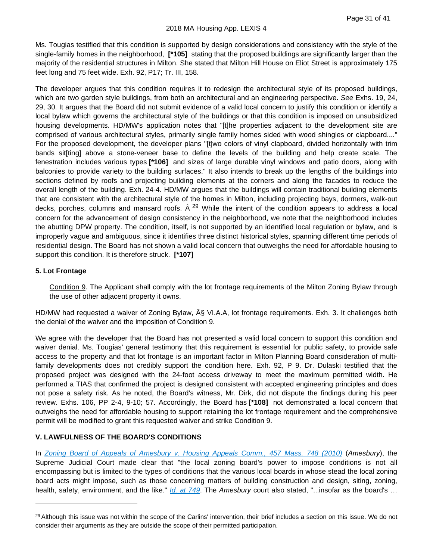Ms. Tougias testified that this condition is supported by design considerations and consistency with the style of the single-family homes in the neighborhood, **[\*105]** stating that the proposed buildings are significantly larger than the majority of the residential structures in Milton. She stated that Milton Hill House on Eliot Street is approximately 175 feet long and 75 feet wide. Exh. 92, P17; Tr. III, 158.

The developer argues that this condition requires it to redesign the architectural style of its proposed buildings, which are two garden style buildings, from both an architectural and an engineering perspective. *See* Exhs. 19, 24, 29, 30. It argues that the Board did not submit evidence of a valid local concern to justify this condition or identify a local bylaw which governs the architectural style of the buildings or that this condition is imposed on unsubsidized housing developments. HD/MW's application notes that "[t]he properties adjacent to the development site are comprised of various architectural styles, primarily single family homes sided with wood shingles or clapboard...." For the proposed development, the developer plans "[t]wo colors of vinyl clapboard, divided horizontally with trim bands sit[ting] above a stone-veneer base to define the levels of the building and help create scale. The fenestration includes various types **[\*106]** and sizes of large durable vinyl windows and patio doors, along with balconies to provide variety to the building surfaces." It also intends to break up the lengths of the buildings into sections defined by roofs and projecting building elements at the corners and along the facades to reduce the overall length of the building. Exh. 24-4. HD/MW argues that the buildings will contain traditional building elements that are consistent with the architectural style of the homes in Milton, including projecting bays, dormers, walk-out decks, porches, columns and mansard roofs.  $\hat{A}^{29}$  $\hat{A}^{29}$  $\hat{A}^{29}$  While the intent of the condition appears to address a local concern for the advancement of design consistency in the neighborhood, we note that the neighborhood includes the abutting DPW property. The condition, itself, is not supported by an identified local regulation or bylaw, and is improperly vague and ambiguous, since it identifies three distinct historical styles, spanning different time periods of residential design. The Board has not shown a valid local concern that outweighs the need for affordable housing to support this condition. It is therefore struck. **[\*107]**

# **5. Lot Frontage**

Condition 9. The Applicant shall comply with the lot frontage requirements of the Milton Zoning Bylaw through the use of other adjacent property it owns.

HD/MW had requested a waiver of Zoning Bylaw,  $\hat{A}\hat{S}$  VI.A.A, lot frontage requirements. Exh. 3. It challenges both the denial of the waiver and the imposition of Condition 9.

We agree with the developer that the Board has not presented a valid local concern to support this condition and waiver denial. Ms. Tougias' general testimony that this requirement is essential for public safety, to provide safe access to the property and that lot frontage is an important factor in Milton Planning Board consideration of multifamily developments does not credibly support the condition here. Exh. 92, P 9. Dr. Dulaski testified that the proposed project was designed with the 24-foot access driveway to meet the maximum permitted width. He performed a TIAS that confirmed the project is designed consistent with accepted engineering principles and does not pose a safety risk. As he noted, the Board's witness, Mr. Dirk, did not dispute the findings during his peer review. Exhs. 106, PP 2-4, 9-10; 57. Accordingly, the Board has **[\*108]** not demonstrated a local concern that outweighs the need for affordable housing to support retaining the lot frontage requirement and the comprehensive permit will be modified to grant this requested waiver and strike Condition 9.

# **V. LAWFULNESS OF THE BOARD'S CONDITIONS**

In *[Zoning Board of Appeals of Amesbury v. Housing Appeals Comm., 457 Mass. 748 \(2010\)](https://plus.lexis.com/api/document?collection=cases&id=urn:contentItem:50XS-P2X1-652M-4001-00000-00&context=1530671)* (*Amesbury*), the Supreme Judicial Court made clear that "the local zoning board's power to impose conditions is not all encompassing but is limited to the types of conditions that the various local boards in whose stead the local zoning board acts might impose, such as those concerning matters of building construction and design, siting, zoning, health, safety, environment, and the like." *[Id. at 749](https://plus.lexis.com/api/document?collection=cases&id=urn:contentItem:50XS-P2X1-652M-4001-00000-00&context=1530671)*. The *Amesbury* court also stated, "...insofar as the board's …

<span id="page-34-0"></span><sup>&</sup>lt;sup>29</sup> Although this issue was not within the scope of the Carlins' intervention, their brief includes a section on this issue. We do not consider their arguments as they are outside the scope of their permitted participation.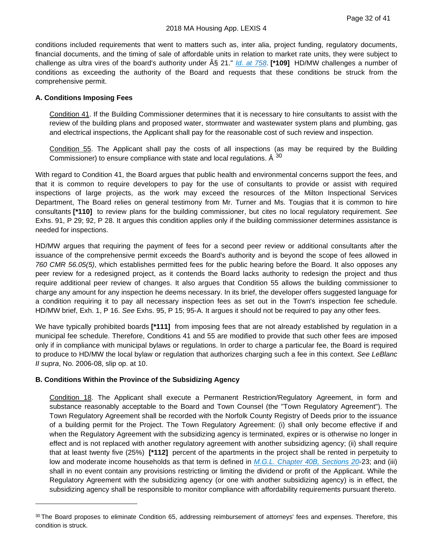conditions included requirements that went to matters such as, inter alia, project funding, regulatory documents, financial documents, and the timing of sale of affordable units in relation to market rate units, they were subject to challenge as ultra vires of the board's authority under  $\hat{A}\hat{S}$  21." *[Id. at 758](https://plus.lexis.com/api/document?collection=cases&id=urn:contentItem:50XS-P2X1-652M-4001-00000-00&context=1530671)*. **[\*109]** HD/MW challenges a number of conditions as exceeding the authority of the Board and requests that these conditions be struck from the comprehensive permit.

#### **A. Conditions Imposing Fees**

Condition 41. If the Building Commissioner determines that it is necessary to hire consultants to assist with the review of the building plans and proposed water, stormwater and wastewater system plans and plumbing, gas and electrical inspections, the Applicant shall pay for the reasonable cost of such review and inspection.

Condition 55. The Applicant shall pay the costs of all inspections (as may be required by the Building Commissioner) to ensure compliance with state and local regulations.  $\hat{A}^{30}$  $\hat{A}^{30}$  $\hat{A}^{30}$ 

With regard to Condition 41, the Board argues that public health and environmental concerns support the fees, and that it is common to require developers to pay for the use of consultants to provide or assist with required inspections of large projects, as the work may exceed the resources of the Milton Inspectional Services Department, The Board relies on general testimony from Mr. Turner and Ms. Tougias that it is common to hire consultants **[\*110]** to review plans for the building commissioner, but cites no local regulatory requirement. *See* Exhs. 91, P 29; 92, P 28. It argues this condition applies only if the building commissioner determines assistance is needed for inspections.

HD/MW argues that requiring the payment of fees for a second peer review or additional consultants after the issuance of the comprehensive permit exceeds the Board's authority and is beyond the scope of fees allowed in *760 CMR 56.05(5)*, which establishes permitted fees for the public hearing before the Board. It also opposes any peer review for a redesigned project, as it contends the Board lacks authority to redesign the project and thus require additional peer review of changes. It also argues that Condition 55 allows the building commissioner to charge any amount for any inspection he deems necessary. In its brief, the developer offers suggested language for a condition requiring it to pay all necessary inspection fees as set out in the Town's inspection fee schedule. HD/MW brief, Exh. 1, P 16. *See* Exhs. 95, P 15; 95-A. It argues it should not be required to pay any other fees.

We have typically prohibited boards **[\*111]** from imposing fees that are not already established by regulation in a municipal fee schedule. Therefore, Conditions 41 and 55 are modified to provide that such other fees are imposed only if in compliance with municipal bylaws or regulations. In order to charge a particular fee, the Board is required to produce to HD/MW the local bylaw or regulation that authorizes charging such a fee in this context. *See LeBlanc II supra*, No. 2006-08, slip op. at 10.

#### **B. Conditions Within the Province of the Subsidizing Agency**

Condition 18. The Applicant shall execute a Permanent Restriction/Regulatory Agreement, in form and substance reasonably acceptable to the Board and Town Counsel (the "Town Regulatory Agreement"). The Town Regulatory Agreement shall be recorded with the Norfolk County Registry of Deeds prior to the issuance of a building permit for the Project. The Town Regulatory Agreement: (i) shall only become effective if and when the Regulatory Agreement with the subsidizing agency is terminated, expires or is otherwise no longer in effect and is not replaced with another regulatory agreement with another subsidizing agency; (ii) shall require that at least twenty five (25%) **[\*112]** percent of the apartments in the project shall be rented in perpetuity to low and moderate income households as that term is defined in *[M.G.L. Chapter 40B, Sections 20](https://plus.lexis.com/api/document?collection=statutes-legislation&id=urn:contentItem:5FF4-8C01-6HMW-V41D-00000-00&context=1530671)*-23; and (iii) shall in no event contain any provisions restricting or limiting the dividend or profit of the Applicant. While the Regulatory Agreement with the subsidizing agency (or one with another subsidizing agency) is in effect, the subsidizing agency shall be responsible to monitor compliance with affordability requirements pursuant thereto.

<span id="page-35-0"></span><sup>30</sup> The Board proposes to eliminate Condition 65, addressing reimbursement of attorneys' fees and expenses. Therefore, this condition is struck.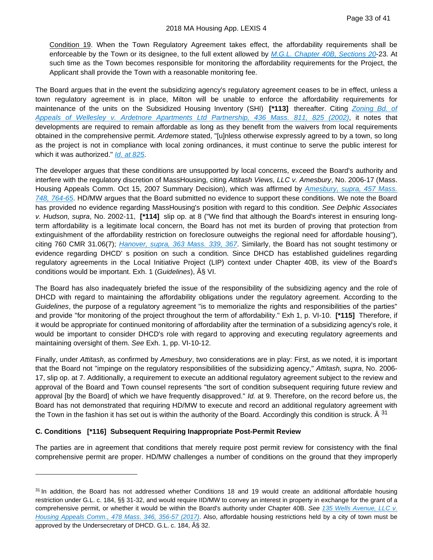Condition 19. When the Town Regulatory Agreement takes effect, the affordability requirements shall be enforceable by the Town or its designee, to the full extent allowed by *[M.G.L. Chapter 40B, Sections 20](https://plus.lexis.com/api/document?collection=statutes-legislation&id=urn:contentItem:5FF4-8C01-6HMW-V41D-00000-00&context=1530671)*-23. At such time as the Town becomes responsible for monitoring the affordability requirements for the Project, the Applicant shall provide the Town with a reasonable monitoring fee.

The Board argues that in the event the subsidizing agency's regulatory agreement ceases to be in effect, unless a town regulatory agreement is in place, Milton will be unable to enforce the affordability requirements for maintenance of the units on the Subsidized Housing Inventory (SHI) **[\*113]** thereafter. Citing *[Zoning Bd. of](https://plus.lexis.com/api/document?collection=cases&id=urn:contentItem:45V6-T2G0-0039-4559-00000-00&context=1530671)  [Appeals of Wellesley v. Ardetnore Apartments Ltd Partnership, 436 Mass. 811, 825 \(2002\)](https://plus.lexis.com/api/document?collection=cases&id=urn:contentItem:45V6-T2G0-0039-4559-00000-00&context=1530671)*, it notes that developments are required to remain affordable as long as they benefit from the waivers from local requirements obtained in the comprehensive permit. *Ardemore* stated, "[u]nless otherwise expressly agreed to by a town, so long as the project is not in compliance with local zoning ordinances, it must continue to serve the public interest for which it was authorized." *[Id. at 825](https://plus.lexis.com/api/document?collection=cases&id=urn:contentItem:45V6-T2G0-0039-4559-00000-00&context=1530671)*.

The developer argues that these conditions are unsupported by local concerns, exceed the Board's authority and interfere with the regulatory discretion of MassHousing, citing *Attitash Views, LLC v. Amesbury*, No. 2006-17 (Mass. Housing Appeals Comm. Oct 15, 2007 Summary Decision), which was affirmed by *[Amesbury, supra, 457 Mass.](https://plus.lexis.com/api/document?collection=cases&id=urn:contentItem:50XS-P2X1-652M-4001-00000-00&context=1530671)  [748, 764-65](https://plus.lexis.com/api/document?collection=cases&id=urn:contentItem:50XS-P2X1-652M-4001-00000-00&context=1530671)*. HD/MW argues that the Board submitted no evidence to support these conditions. We note the Board has provided no evidence regarding MassHousing's position with regard to this condition. *See Delphic Associates v. Hudson, supra*, No. 2002-11, **[\*114]** slip op. at 8 ("We find that although the Board's interest in ensuring longterm affordability is a legitimate local concern, the Board has not met its burden of proving that protection from extinguishment of the affordability restriction on foreclosure outweighs the regional need for affordable housing"), citing 760 CMR 31.06(7); *[Hanover, supra, 363 Mass. 339, 367](https://plus.lexis.com/api/document?collection=cases&id=urn:contentItem:3RRJ-7GR0-003C-T219-00000-00&context=1530671)*. Similarly, the Board has not sought testimony or evidence regarding DHCD' s position on such a condition. Since DHCD has established guidelines regarding regulatory agreements in the Local Initiative Project (LIP) context under Chapter 40B, its view of the Board's conditions would be important. Exh. 1 (*Guidelines*), § VI.

The Board has also inadequately briefed the issue of the responsibility of the subsidizing agency and the role of DHCD with regard to maintaining the affordability obligations under the regulatory agreement. According to the *Guidelines*, the purpose of a regulatory agreement "is to memorialize the rights and responsibilities of the parties" and provide "for monitoring of the project throughout the term of affordability." Exh 1, p. VI-10. **[\*115]** Therefore, if it would be appropriate for continued monitoring of affordability after the termination of a subsidizing agency's role, it would be important to consider DHCD's role with regard to approving and executing regulatory agreements and maintaining oversight of them. *See* Exh. 1, pp. VI-10-12.

Finally, under *Attitash*, as confirmed by *Amesbury*, two considerations are in play: First, as we noted, it is important that the Board not "impinge on the regulatory responsibilities of the subsidizing agency," *Attitash, supra*, No. 2006- 17, slip op. at 7. Additionally, a requirement to execute an additional regulatory agreement subject to the review and approval of the Board and Town counsel represents "the sort of condition subsequent requiring future review and approval [by the Board] of which we have frequently disapproved." *Id.* at 9. Therefore, on the record before us, the Board has not demonstrated that requiring HD/MW to execute and record an additional regulatory agreement with the Town in the fashion it has set out is within the authority of the Board. Accordingly this condition is struck.  $\hat{A}^{31}$  $\hat{A}^{31}$  $\hat{A}^{31}$ 

#### **C. Conditions [\*116] Subsequent Requiring Inappropriate Post-Permit Review**

The parties are in agreement that conditions that merely require post permit review for consistency with the final comprehensive permit are proper. HD/MW challenges a number of conditions on the ground that they improperly

<span id="page-36-0"></span> $31$  In addition, the Board has not addressed whether Conditions 18 and 19 would create an additional affordable housing restriction under G.L. c. 184, §§ 31-32, and would require IID/MW to convey an interest in property in exchange for the grant of a comprehensive permit, or whether it would be within the Board's authority under Chapter 40B. *See [135 Wells Avenue, LLC v.](https://plus.lexis.com/api/document?collection=cases&id=urn:contentItem:5PXK-41N1-F04G-P0R7-00000-00&context=1530671)  [Housing Appeals Comm., 478 Mass. 346, 356-57 \(2017\)](https://plus.lexis.com/api/document?collection=cases&id=urn:contentItem:5PXK-41N1-F04G-P0R7-00000-00&context=1530671)*. Also, affordable housing restrictions held by a city of town must be approved by the Undersecretary of DHCD. G.L. c. 184, § 32.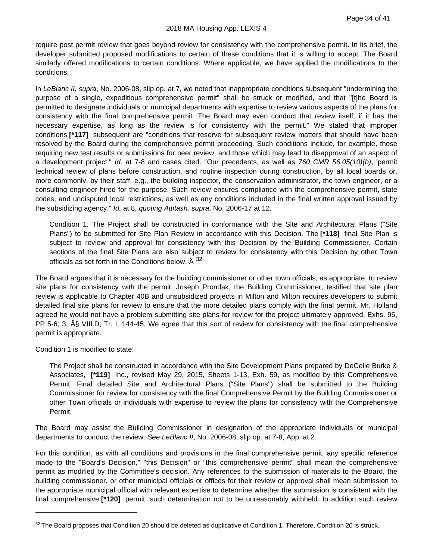require post permit review that goes beyond review for consistency with the comprehensive permit. In its brief, the developer submitted proposed modifications to certain of these conditions that it is willing to accept. The Board similarly offered modifications to certain conditions. Where applicable, we have applied the modifications to the conditions.

In *LeBlanc II, supra*, No. 2006-08, slip op. at 7, we noted that inappropriate conditions subsequent "undermining the purpose of a single, expeditious comprehensive permit" shall be struck or modified, and that "[t]he Board is permitted to designate individuals or municipal departments with expertise to review various aspects of the plans for consistency with the final comprehensive permit. The Board may even conduct that review itself, if it has the necessary expertise, as long as the review is for consistency with the permit." We stated that improper conditions **[\*117]** subsequent are "conditions that reserve for subsequent review matters that should have been resolved by the Board during the comprehensive permit proceeding. Such conditions include, for example, those requiring new test results or submissions for peer review, and those which may lead to disapproval of an aspect of a development project." *Id.* at 7-8 and cases cited. "Our precedents, as well as *760 CMR 56.05(10)(b)*, 'permit technical review of plans before construction, and routine inspection during construction, by all local boards or, more commonly, by their staff, e.g., the building inspector, the conservation administrator, the town engineer, or a consulting engineer hired for the purpose. Such review ensures compliance with the comprehensive permit, state codes, and undisputed local restrictions, as well as any conditions included in the final written approval issued by the subsidizing agency." *Id.* at 8, *quoting Attitash, supra*, No. 2006-17 at 12.

Condition 1. The Project shall be constructed in conformance with the Site and Architectural Plans ("Site Plans") to be submitted for Site Plan Review in accordance with this Decision. The **[\*118]** final Site Plan is subject to review and approval for consistency with this Decision by the Building Commissioner. Certain sections of the final Site Plans are also subject to review for consistency with this Decision by other Town officials as set forth in the Conditions below.  $\hat{A}^{32}$  $\hat{A}^{32}$  $\hat{A}^{32}$ 

The Board argues that it is necessary for the building commissioner or other town officials, as appropriate, to review site plans for consistency with the permit. Joseph Prondak, the Building Commissioner, testified that site plan review is applicable to Chapter 40B and unsubsidized projects in Milton and Milton requires developers to submit detailed final site plans for review to ensure that the more detailed plans comply with the final permit. Mr. Holland agreed he would not have a problem submitting site plans for review for the project ultimately approved. Exhs. 95, PP 5-6; 3,  $\hat{A}$ § VIII.D; Tr. I, 144-45. We agree that this sort of review for consistency with the final comprehensive permit is appropriate.

Condition 1 is modified to state:

The Project shall be constructed in accordance with the Site Development Plans prepared by DeCelle Burke & Associates, **[\*119]** Inc., revised May 29, 2015, Sheets 1-13, Exh. 59, as modified by this Comprehensive Permit. Final detailed Site and Architectural Plans ("Site Plans") shall be submitted to the Building Commissioner for review for consistency with the final Comprehensive Permit by the Building Commissioner or other Town officials or individuals with expertise to review the plans for consistency with the Comprehensive Permit.

The Board may assist the Building Commissioner in designation of the appropriate individuals or municipal departments to conduct the review. *See LeBlanc II*, No. 2006-08, slip op. at 7-8, App. at 2.

For this condition, as with all conditions and provisions in the final comprehensive permit, any specific reference made to the "Board's Decision," "this Decision" or "this comprehensive permit" shall mean the comprehensive permit as modified by the Committee's decision. Any references to the submission of materials to the Board, the building commissioner, or other municipal officials or offices for their review or approval shall mean submission to the appropriate municipal official with relevant expertise to determine whether the submission is consistent with the final comprehensive **[\*120]** permit, such determination not to be unreasonably withheld. In addition such review

<span id="page-37-0"></span><sup>32</sup> The Board proposes that Condition 20 should be deleted as duplicative of Condition 1. Therefore, Condition 20 is struck.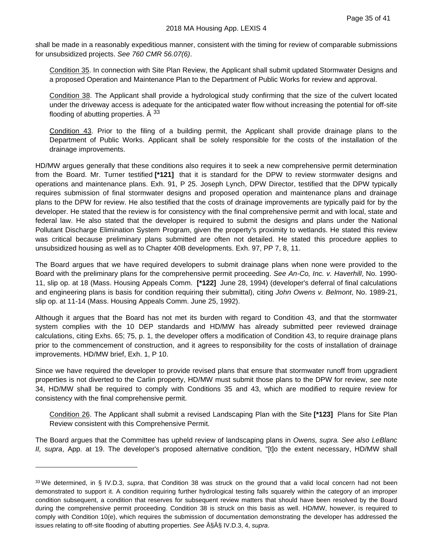shall be made in a reasonably expeditious manner, consistent with the timing for review of comparable submissions for unsubsidized projects. *See 760 CMR 56.07(6)*.

Condition 35. In connection with Site Plan Review, the Applicant shall submit updated Stormwater Designs and a proposed Operation and Maintenance Plan to the Department of Public Works for review and approval.

Condition 38. The Applicant shall provide a hydrological study confirming that the size of the culvert located under the driveway access is adequate for the anticipated water flow without increasing the potential for off-site flooding of abutting properties.  $\hat{A}^{33}$  $\hat{A}^{33}$  $\hat{A}^{33}$ 

Condition 43. Prior to the filing of a building permit, the Applicant shall provide drainage plans to the Department of Public Works. Applicant shall be solely responsible for the costs of the installation of the drainage improvements.

HD/MW argues generally that these conditions also requires it to seek a new comprehensive permit determination from the Board. Mr. Turner testified **[\*121]** that it is standard for the DPW to review stormwater designs and operations and maintenance plans. Exh. 91, P 25. Joseph Lynch, DPW Director, testified that the DPW typically requires submission of final stormwater designs and proposed operation and maintenance plans and drainage plans to the DPW for review. He also testified that the costs of drainage improvements are typically paid for by the developer. He stated that the review is for consistency with the final comprehensive permit and with local, state and federal law. He also stated that the developer is required to submit the designs and plans under the National Pollutant Discharge Elimination System Program, given the property's proximity to wetlands. He stated this review was critical because preliminary plans submitted are often not detailed. He stated this procedure applies to unsubsidized housing as well as to Chapter 40B developments. Exh. 97, PP 7, 8, 11.

The Board argues that we have required developers to submit drainage plans when none were provided to the Board with the preliminary plans for the comprehensive permit proceeding. *See An-Co, Inc. v. Haverhill*, No. 1990- 11, slip op. at 18 (Mass. Housing Appeals Comm. **[\*122]** June 28, 1994) (developer's deferral of final calculations and engineering plans is basis for condition requiring their submittal), citing *John Owens v. Belmont*, No. 1989-21, slip op. at 11-14 (Mass. Housing Appeals Comm. June 25, 1992).

Although it argues that the Board has not met its burden with regard to Condition 43, and that the stormwater system complies with the 10 DEP standards and HD/MW has already submitted peer reviewed drainage calculations, citing Exhs. 65; 75, p. 1, the developer offers a modification of Condition 43, to require drainage plans prior to the commencement of construction, and it agrees to responsibility for the costs of installation of drainage improvements. HD/MW brief, Exh. 1, P 10.

Since we have required the developer to provide revised plans that ensure that stormwater runoff from upgradient properties is not diverted to the Carlin property, HD/MW must submit those plans to the DPW for review, *see* note 34, HD/MW shall be required to comply with Conditions 35 and 43, which are modified to require review for consistency with the final comprehensive permit.

Condition 26. The Applicant shall submit a revised Landscaping Plan with the Site **[\*123]** Plans for Site Plan Review consistent with this Comprehensive Permit.

The Board argues that the Committee has upheld review of landscaping plans in *Owens, supra. See also LeBlanc II, supra*, App. at 19. The developer's proposed alternative condition, "[t]o the extent necessary, HD/MW shall

<span id="page-38-0"></span><sup>33</sup> We determined, in § IV.D.3, *supra*, that Condition 38 was struck on the ground that a valid local concern had not been demonstrated to support it. A condition requiring further hydrological testing falls squarely within the category of an improper condition subsequent, a condition that reserves for subsequent review matters that should have been resolved by the Board during the comprehensive permit proceeding. Condition 38 is struck on this basis as well. HD/MW, however, is required to comply with Condition 10(e), which requires the submission of documentation demonstrating the developer has addressed the issues relating to off-site flooding of abutting properties. See  $\hat{A}\hat{S}\hat{A}\hat{S}$  IV.D.3, 4, *supra*.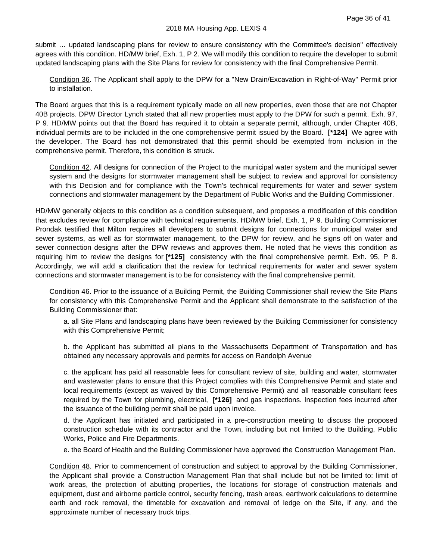submit … updated landscaping plans for review to ensure consistency with the Committee's decision" effectively agrees with this condition. HD/MW brief, Exh. 1, P 2. We will modify this condition to require the developer to submit updated landscaping plans with the Site Plans for review for consistency with the final Comprehensive Permit.

Condition 36. The Applicant shall apply to the DPW for a "New Drain/Excavation in Right-of-Way" Permit prior to installation.

The Board argues that this is a requirement typically made on all new properties, even those that are not Chapter 40B projects. DPW Director Lynch stated that all new properties must apply to the DPW for such a permit. Exh. 97, P 9. HD/MW points out that the Board has required it to obtain a separate permit, although, under Chapter 40B, individual permits are to be included in the one comprehensive permit issued by the Board. **[\*124]** We agree with the developer. The Board has not demonstrated that this permit should be exempted from inclusion in the comprehensive permit. Therefore, this condition is struck.

Condition 42. All designs for connection of the Project to the municipal water system and the municipal sewer system and the designs for stormwater management shall be subject to review and approval for consistency with this Decision and for compliance with the Town's technical requirements for water and sewer system connections and stormwater management by the Department of Public Works and the Building Commissioner.

HD/MW generally objects to this condition as a condition subsequent, and proposes a modification of this condition that excludes review for compliance with technical requirements. HD/MW brief, Exh. 1, P 9. Building Commissioner Prondak testified that Milton requires all developers to submit designs for connections for municipal water and sewer systems, as well as for stormwater management, to the DPW for review, and he signs off on water and sewer connection designs after the DPW reviews and approves them. He noted that he views this condition as requiring him to review the designs for **[\*125]** consistency with the final comprehensive permit. Exh. 95, P 8. Accordingly, we will add a clarification that the review for technical requirements for water and sewer system connections and stormwater management is to be for consistency with the final comprehensive permit.

Condition 46. Prior to the issuance of a Building Permit, the Building Commissioner shall review the Site Plans for consistency with this Comprehensive Permit and the Applicant shall demonstrate to the satisfaction of the Building Commissioner that:

a. all Site Plans and landscaping plans have been reviewed by the Building Commissioner for consistency with this Comprehensive Permit;

b. the Applicant has submitted all plans to the Massachusetts Department of Transportation and has obtained any necessary approvals and permits for access on Randolph Avenue

c. the applicant has paid all reasonable fees for consultant review of site, building and water, stormwater and wastewater plans to ensure that this Project complies with this Comprehensive Permit and state and local requirements (except as waived by this Comprehensive Permit) and all reasonable consultant fees required by the Town for plumbing, electrical, **[\*126]** and gas inspections. Inspection fees incurred after the issuance of the building permit shall be paid upon invoice.

d. the Applicant has initiated and participated in a pre-construction meeting to discuss the proposed construction schedule with its contractor and the Town, including but not limited to the Building, Public Works, Police and Fire Departments.

e. the Board of Health and the Building Commissioner have approved the Construction Management Plan.

Condition 48. Prior to commencement of construction and subject to approval by the Building Commissioner, the Applicant shall provide a Construction Management Plan that shall include but not be limited to: limit of work areas, the protection of abutting properties, the locations for storage of construction materials and equipment, dust and airborne particle control, security fencing, trash areas, earthwork calculations to determine earth and rock removal, the timetable for excavation and removal of ledge on the Site, if any, and the approximate number of necessary truck trips.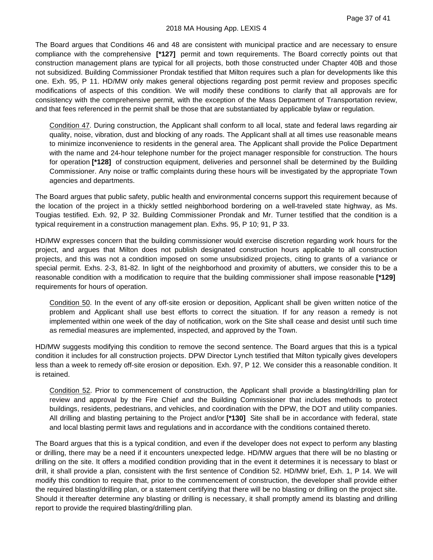The Board argues that Conditions 46 and 48 are consistent with municipal practice and are necessary to ensure compliance with the comprehensive **[\*127]** permit and town requirements. The Board correctly points out that construction management plans are typical for all projects, both those constructed under Chapter 40B and those not subsidized. Building Commissioner Prondak testified that Milton requires such a plan for developments like this one. Exh. 95, P 11. HD/MW only makes general objections regarding post permit review and proposes specific modifications of aspects of this condition. We will modify these conditions to clarify that all approvals are for consistency with the comprehensive permit, with the exception of the Mass Department of Transportation review, and that fees referenced in the permit shall be those that are substantiated by applicable bylaw or regulation.

Condition 47. During construction, the Applicant shall conform to all local, state and federal laws regarding air quality, noise, vibration, dust and blocking of any roads. The Applicant shall at all times use reasonable means to minimize inconvenience to residents in the general area. The Applicant shall provide the Police Department with the name and 24-hour telephone number for the project manager responsible for construction. The hours for operation **[\*128]** of construction equipment, deliveries and personnel shall be determined by the Building Commissioner. Any noise or traffic complaints during these hours will be investigated by the appropriate Town agencies and departments.

The Board argues that public safety, public health and environmental concerns support this requirement because of the location of the project in a thickly settled neighborhood bordering on a well-traveled state highway, as Ms. Tougias testified. Exh. 92, P 32. Building Commissioner Prondak and Mr. Turner testified that the condition is a typical requirement in a construction management plan. Exhs. 95, P 10; 91, P 33.

HD/MW expresses concern that the building commissioner would exercise discretion regarding work hours for the project, and argues that Milton does not publish designated construction hours applicable to all construction projects, and this was not a condition imposed on some unsubsidized projects, citing to grants of a variance or special permit. Exhs. 2-3, 81-82. In light of the neighborhood and proximity of abutters, we consider this to be a reasonable condition with a modification to require that the building commissioner shall impose reasonable **[\*129]** requirements for hours of operation.

Condition 50. In the event of any off-site erosion or deposition, Applicant shall be given written notice of the problem and Applicant shall use best efforts to correct the situation. If for any reason a remedy is not implemented within one week of the day of notification, work on the Site shall cease and desist until such time as remedial measures are implemented, inspected, and approved by the Town.

HD/MW suggests modifying this condition to remove the second sentence. The Board argues that this is a typical condition it includes for all construction projects. DPW Director Lynch testified that Milton typically gives developers less than a week to remedy off-site erosion or deposition. Exh. 97, P 12. We consider this a reasonable condition. It is retained.

Condition 52. Prior to commencement of construction, the Applicant shall provide a blasting/drilling plan for review and approval by the Fire Chief and the Building Commissioner that includes methods to protect buildings, residents, pedestrians, and vehicles, and coordination with the DPW, the DOT and utility companies. All drilling and blasting pertaining to the Project and/or **[\*130]** Site shall be in accordance with federal, state and local blasting permit laws and regulations and in accordance with the conditions contained thereto.

The Board argues that this is a typical condition, and even if the developer does not expect to perform any blasting or drilling, there may be a need if it encounters unexpected ledge. HD/MW argues that there will be no blasting or drilling on the site. It offers a modified condition providing that in the event it determines it is necessary to blast or drill, it shall provide a plan, consistent with the first sentence of Condition 52. HD/MW brief, Exh. 1, P 14. We will modify this condition to require that, prior to the commencement of construction, the developer shall provide either the required blasting/drilling plan, or a statement certifying that there will be no blasting or drilling on the project site. Should it thereafter determine any blasting or drilling is necessary, it shall promptly amend its blasting and drilling report to provide the required blasting/drilling plan.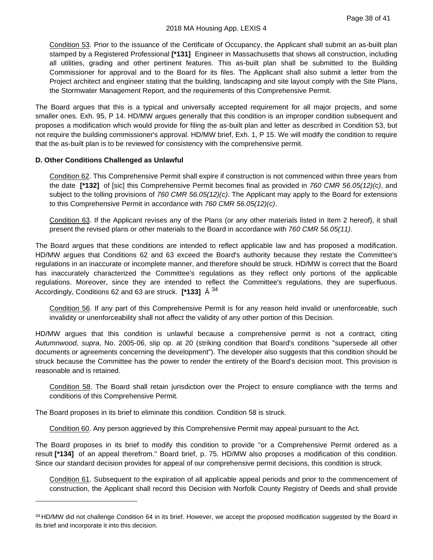Condition 53. Prior to the issuance of the Certificate of Occupancy, the Applicant shall submit an as-built plan stamped by a Registered Professional **[\*131]** Engineer in Massachusetts that shows all construction, including all utilities, grading and other pertinent features. This as-built plan shall be submitted to the Building Commissioner for approval and to the Board for its files. The Applicant shall also submit a letter from the Project architect and engineer stating that the building, landscaping and site layout comply with the Site Plans, the Stormwater Management Report, and the requirements of this Comprehensive Permit.

The Board argues that this is a typical and universally accepted requirement for all major projects, and some smaller ones. Exh. 95, P 14. HD/MW argues generally that this condition is an improper condition subsequent and proposes a modification which would provide for filing the as-built plan and letter as described in Condition 53, but not require the building commissioner's approval. HD/MW brief, Exh. 1, P 15. We will modify the condition to require that the as-built plan is to be reviewed for consistency with the comprehensive permit.

# **D. Other Conditions Challenged as Unlawful**

Condition 62. This Comprehensive Permit shall expire if construction is not commenced within three years from the date **[\*132]** of [sic] this Comprehensive Permit becomes final as provided in *760 CMR 56.05(12)(c)*, and subject to the tolling provisions of *760 CMR 56.05(12)(c)*. The Applicant may apply to the Board for extensions to this Comprehensive Permit in accordance with *760 CMR 56.05(12)(c)*.

Condition 63. If the Applicant revises any of the Plans (or any other materials listed in Item 2 hereof), it shall present the revised plans or other materials to the Board in accordance with *760 CMR 56.05(11)*.

The Board argues that these conditions are intended to reflect applicable law and has proposed a modification. HD/MW argues that Conditions 62 and 63 exceed the Board's authority because they restate the Committee's regulations in an inaccurate or incomplete manner, and therefore should be struck. HD/MW is correct that the Board has inaccurately characterized the Committee's regulations as they reflect only portions of the applicable regulations. Moreover, since they are intended to reflect the Committee's regulations, they are superfluous. Accordingly, Conditions 62 and 63 are struck. **[\*133]** Â [34](#page-41-0)

Condition 56. If any part of this Comprehensive Permit is for any reason held invalid or unenforceable, such invalidity or unenforceability shall not affect the validity of any other portion of this Decision.

HD/MW argues that this condition is unlawful because a comprehensive permit is not a contract, citing *Autumnwood, supra*, No. 2005-06, slip op. at 20 (striking condition that Board's conditions "supersede all other documents or agreements concerning the development"). The developer also suggests that this condition should be struck because the Committee has the power to render the entirety of the Board's decision moot. This provision is reasonable and is retained.

Condition 58. The Board shall retain jurisdiction over the Project to ensure compliance with the terms and conditions of this Comprehensive Permit.

The Board proposes in its brief to eliminate this condition. Condition 58 is struck.

Condition 60. Any person aggrieved by this Comprehensive Permit may appeal pursuant to the Act.

The Board proposes in its brief to modify this condition to provide "or a Comprehensive Permit ordered as a result **[\*134]** of an appeal therefrom." Board brief, p. 75. HD/MW also proposes a modification of this condition. Since our standard decision provides for appeal of our comprehensive permit decisions, this condition is struck.

Condition 61. Subsequent to the expiration of all applicable appeal periods and prior to the commencement of construction, the Applicant shall record this Decision with Norfolk County Registry of Deeds and shall provide

<span id="page-41-0"></span><sup>34</sup> HD/MW did not challenge Condition 64 in its brief. However, we accept the proposed modification suggested by the Board in its brief and incorporate it into this decision.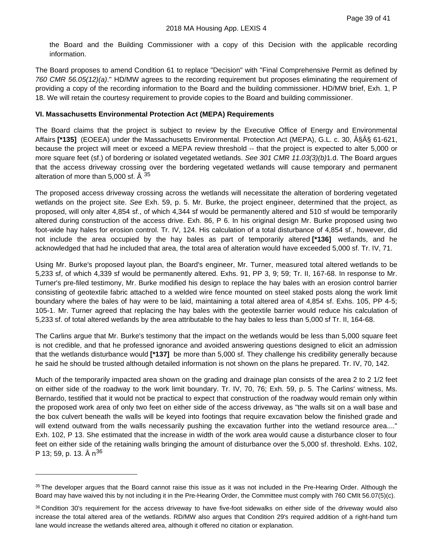the Board and the Building Commissioner with a copy of this Decision with the applicable recording information.

The Board proposes to amend Condition 61 to replace "Decision" with "Final Comprehensive Permit as defined by *760 CMR 56.05(12)(a)*." HD/MW agrees to the recording requirement but proposes eliminating the requirement of providing a copy of the recording information to the Board and the building commissioner. HD/MW brief, Exh. 1, P 18. We will retain the courtesy requirement to provide copies to the Board and building commissioner.

#### **VI. Massachusetts Environmental Protection Act (MEPA) Requirements**

The Board claims that the project is subject to review by the Executive Office of Energy and Environmental Affairs [\*135] (EOEEA) under the Massachusetts Environmental. Protection Act (MEPA), G.L. c. 30, §Â§ 61-621, because the project will meet or exceed a MEPA review threshold -- that the project is expected to alter 5,000 or more square feet (sf.) of bordering or isolated vegetated wetlands. *See 301 CMR 11.03(3)(b)*1.d. The Board argues that the access driveway crossing over the bordering vegetated wetlands will cause temporary and permanent alteration of more than 5,000 sf.  $\hat{A}^{35}$  $\hat{A}^{35}$  $\hat{A}^{35}$ 

The proposed access driveway crossing across the wetlands will necessitate the alteration of bordering vegetated wetlands on the project site. *See* Exh. 59, p. 5. Mr. Burke, the project engineer, determined that the project, as proposed, will only alter 4,854 sf., of which 4,344 sf would be permanently altered and 510 sf would be temporarily altered during construction of the access drive. Exh. 86, P 6. In his original design Mr. Burke proposed using two foot-wide hay hales for erosion control. Tr. IV, 124. His calculation of a total disturbance of 4,854 sf., however, did not include the area occupied by the hay bales as part of temporarily altered **[\*136]** wetlands, and he acknowledged that had he included that area, the total area of alteration would have exceeded 5,000 sf. Tr. IV, 71.

Using Mr. Burke's proposed layout plan, the Board's engineer, Mr. Turner, measured total altered wetlands to be 5,233 sf, of which 4,339 sf would be permanently altered. Exhs. 91, PP 3, 9; 59; Tr. II, 167-68. In response to Mr. Turner's pre-filed testimony, Mr. Burke modified his design to replace the hay bales with an erosion control barrier consisting of geotextile fabric attached to a welded wire fence mounted on steel staked posts along the work limit boundary where the bales of hay were to be laid, maintaining a total altered area of 4,854 sf. Exhs. 105, PP 4-5; 105-1. Mr. Turner agreed that replacing the hay bales with the geotextile barrier would reduce his calculation of 5,233 sf. of total altered wetlands by the area attributable to the hay bales to less than 5,000 sf Tr. II, 164-68.

The Carlins argue that Mr. Burke's testimony that the impact on the wetlands would be less than 5,000 square feet is not credible, and that he professed ignorance and avoided answering questions designed to elicit an admission that the wetlands disturbance would **[\*137]** be more than 5,000 sf. They challenge his credibility generally because he said he should be trusted although detailed information is not shown on the plans he prepared. Tr. IV, 70, 142.

Much of the temporarily impacted area shown on the grading and drainage plan consists of the area 2 to 2 1/2 feet on either side of the roadway to the work limit boundary. Tr. IV, 70, 76; Exh. 59, p. 5. The Carlins' witness, Ms. Bernardo, testified that it would not be practical to expect that construction of the roadway would remain only within the proposed work area of only two feet on either side of the access driveway, as "the walls sit on a wall base and the box culvert beneath the walls will be keyed into footings that require excavation below the finished grade and will extend outward from the walls necessarily pushing the excavation further into the wetland resource area...." Exh. 102, P 13. She estimated that the increase in width of the work area would cause a disturbance closer to four feet on either side of the retaining walls bringing the amount of disturbance over the 5,000 sf. threshold. Exhs. 102, P 13; 59, p. 13. Â n<sup>[36](#page-42-1)</sup>

<span id="page-42-0"></span><sup>&</sup>lt;sup>35</sup> The developer argues that the Board cannot raise this issue as it was not included in the Pre-Hearing Order. Although the Board may have waived this by not including it in the Pre-Hearing Order, the Committee must comply with 760 CMIt 56.07(5)(c).

<span id="page-42-1"></span><sup>36</sup> Condition 30's requirement for the access driveway to have five-foot sidewalks on either side of the driveway would also increase the total altered area of the wetlands. RD/MW also argues that Condition 29's required addition of a right-hand turn lane would increase the wetlands altered area, although it offered no citation or explanation.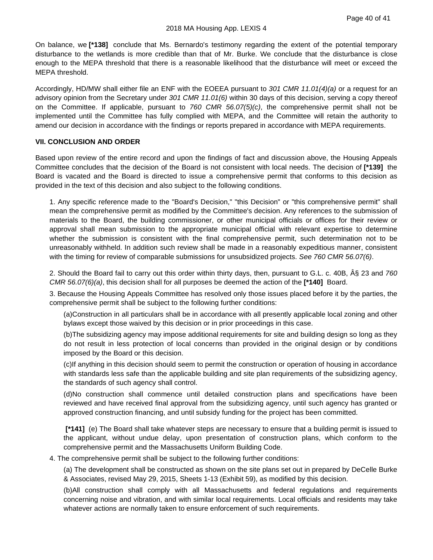On balance, we **[\*138]** conclude that Ms. Bernardo's testimony regarding the extent of the potential temporary disturbance to the wetlands is more credible than that of Mr. Burke. We conclude that the disturbance is close enough to the MEPA threshold that there is a reasonable likelihood that the disturbance will meet or exceed the MEPA threshold.

Accordingly, HD/MW shall either file an ENF with the EOEEA pursuant to *301 CMR 11.01(4)(a)* or a request for an advisory opinion from the Secretary under *301 CMR 11.01(6)* within 30 days of this decision, serving a copy thereof on the Committee. If applicable, pursuant to *760 CMR 56.07(5)(c)*, the comprehensive permit shall not be implemented until the Committee has fully complied with MEPA, and the Committee will retain the authority to amend our decision in accordance with the findings or reports prepared in accordance with MEPA requirements.

#### **VII. CONCLUSION AND ORDER**

Based upon review of the entire record and upon the findings of fact and discussion above, the Housing Appeals Committee concludes that the decision of the Board is not consistent with local needs. The decision of **[\*139]** the Board is vacated and the Board is directed to issue a comprehensive permit that conforms to this decision as provided in the text of this decision and also subject to the following conditions.

1. Any specific reference made to the "Board's Decision," "this Decision" or "this comprehensive permit" shall mean the comprehensive permit as modified by the Committee's decision. Any references to the submission of materials to the Board, the building commissioner, or other municipal officials or offices for their review or approval shall mean submission to the appropriate municipal official with relevant expertise to determine whether the submission is consistent with the final comprehensive permit, such determination not to be unreasonably withheld. In addition such review shall be made in a reasonably expeditious manner, consistent with the timing for review of comparable submissions for unsubsidized projects. *See 760 CMR 56.07(6)*.

2. Should the Board fail to carry out this order within thirty days, then, pursuant to G.L. c. 40B,  $\hat{A}$  23 and 760 *CMR 56.07(6)(a)*, this decision shall for all purposes be deemed the action of the **[\*140]** Board.

3. Because the Housing Appeals Committee has resolved only those issues placed before it by the parties, the comprehensive permit shall be subject to the following further conditions:

(a)Construction in all particulars shall be in accordance with all presently applicable local zoning and other bylaws except those waived by this decision or in prior proceedings in this case.

(b)The subsidizing agency may impose additional requirements for site and building design so long as they do not result in less protection of local concerns than provided in the original design or by conditions imposed by the Board or this decision.

(c)If anything in this decision should seem to permit the construction or operation of housing in accordance with standards less safe than the applicable building and site plan requirements of the subsidizing agency, the standards of such agency shall control.

(d)No construction shall commence until detailed construction plans and specifications have been reviewed and have received final approval from the subsidizing agency, until such agency has granted or approved construction financing, and until subsidy funding for the project has been committed.

**[\*141]** (e) The Board shall take whatever steps are necessary to ensure that a building permit is issued to the applicant, without undue delay, upon presentation of construction plans, which conform to the comprehensive permit and the Massachusetts Uniform Building Code.

4. The comprehensive permit shall be subject to the following further conditions:

(a) The development shall be constructed as shown on the site plans set out in prepared by DeCelle Burke & Associates, revised May 29, 2015, Sheets 1-13 (Exhibit 59), as modified by this decision.

(b)All construction shall comply with all Massachusetts and federal regulations and requirements concerning noise and vibration, and with similar local requirements. Local officials and residents may take whatever actions are normally taken to ensure enforcement of such requirements.